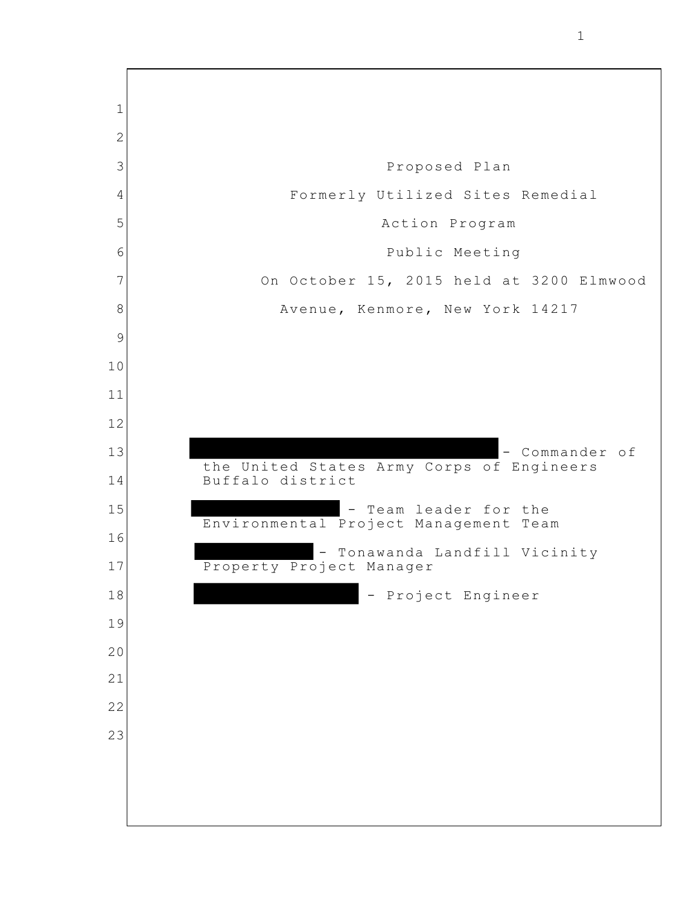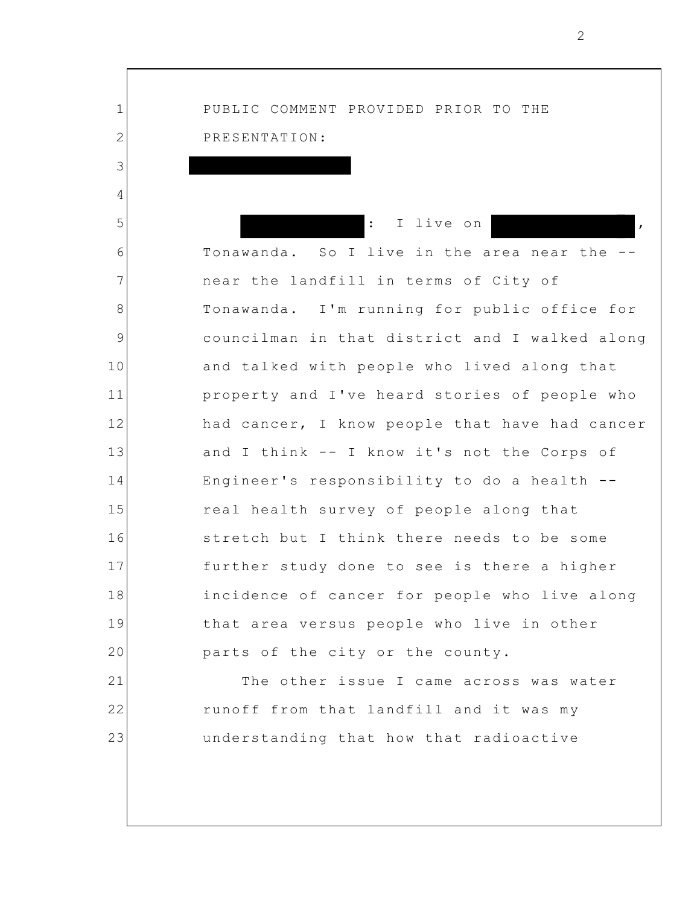1 2 3 4 5 6 7 8 9 10 11 12 13 14 15 16 17 18 19 20 21 22 23 PUBLIC COMMENT PROVIDED PRIOR TO THE PRESENTATION: I live on Tonawanda. So I live in the area near the - near the landfill in terms of City of Tonawanda. I'm running for public office for councilman in that district and I walked along and talked with people who lived along that property and I've heard stories of people who had cancer, I know people that have had cancer and I think -- I know it's not the Corps of Engineer's responsibility to do a health - real health survey of people along that stretch but I think there needs to be some further study done to see is there a higher incidence of cancer for people who live along that area versus people who live in other parts of the city or the county. The other issue I came across was water runoff from that landfill and it was my understanding that how that radioactive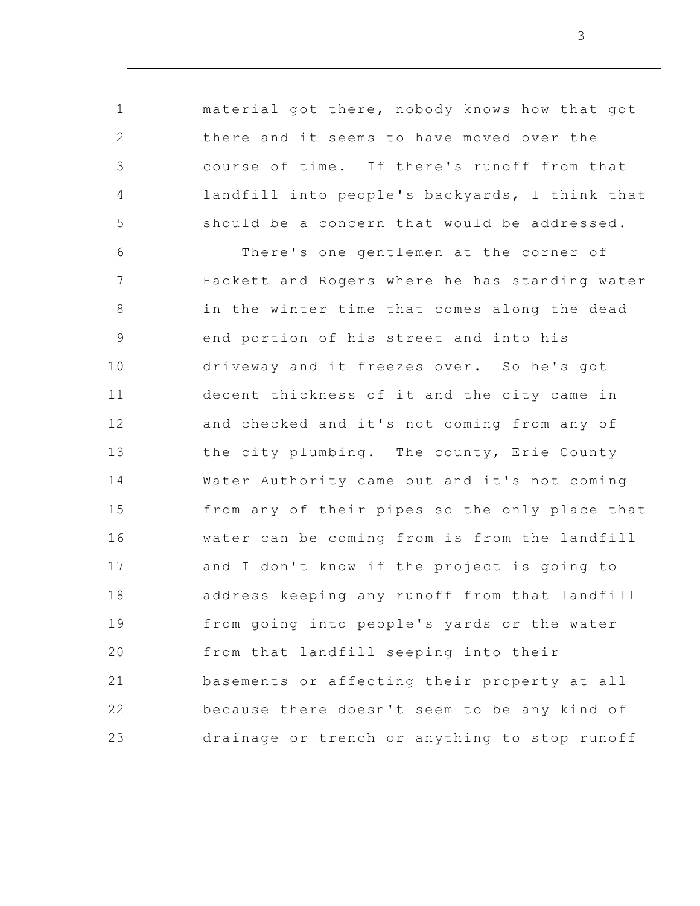material got there, nobody knows how that got there and it seems to have moved over the course of time. If there's runoff from that landfill into people's backyards, I think that should be a concern that would be addressed.

1

2

3

4

5

6 7 8 9 10 11 12 13 14 15 16 17 18 19 20 21 22 23 There's one gentlemen at the corner of Hackett and Rogers where he has standing water in the winter time that comes along the dead end portion of his street and into his driveway and it freezes over. So he's got decent thickness of it and the city came in and checked and it's not coming from any of the city plumbing. The county, Erie County Water Authority came out and it's not coming from any of their pipes so the only place that water can be coming from is from the landfill and I don't know if the project is going to address keeping any runoff from that landfill from going into people's yards or the water from that landfill seeping into their basements or affecting their property at all because there doesn't seem to be any kind of drainage or trench or anything to stop runoff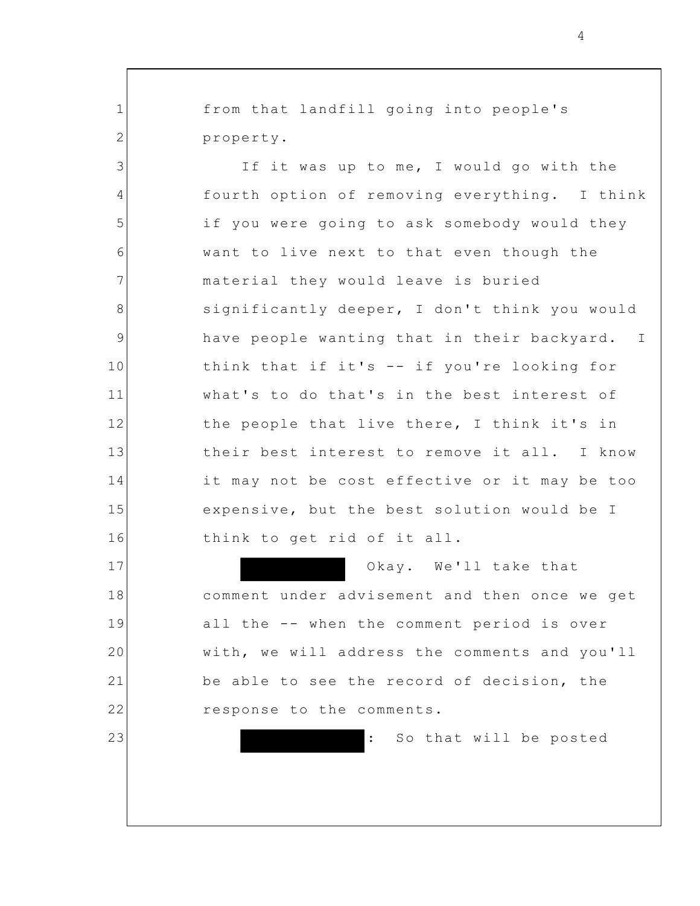from that landfill going into people's property.

1

2

3

4

5

6

7

8

9

10

11

12

13

14

15

16

17

18

19

20

21

22

23

If it was up to me, I would go with the fourth option of removing everything. I think if you were going to ask somebody would they want to live next to that even though the material they would leave is buried significantly deeper, I don't think you would have people wanting that in their backyard. I think that if it's -- if you're looking for what's to do that's in the best interest of the people that live there, I think it's in their best interest to remove it all. I know it may not be cost effective or it may be too expensive, but the best solution would be I think to get rid of it all.

> Okay. We'll take that comment under advisement and then once we get all the -- when the comment period is over with, we will address the comments and you'll be able to see the record of decision, the response to the comments.

> > : So that will be posted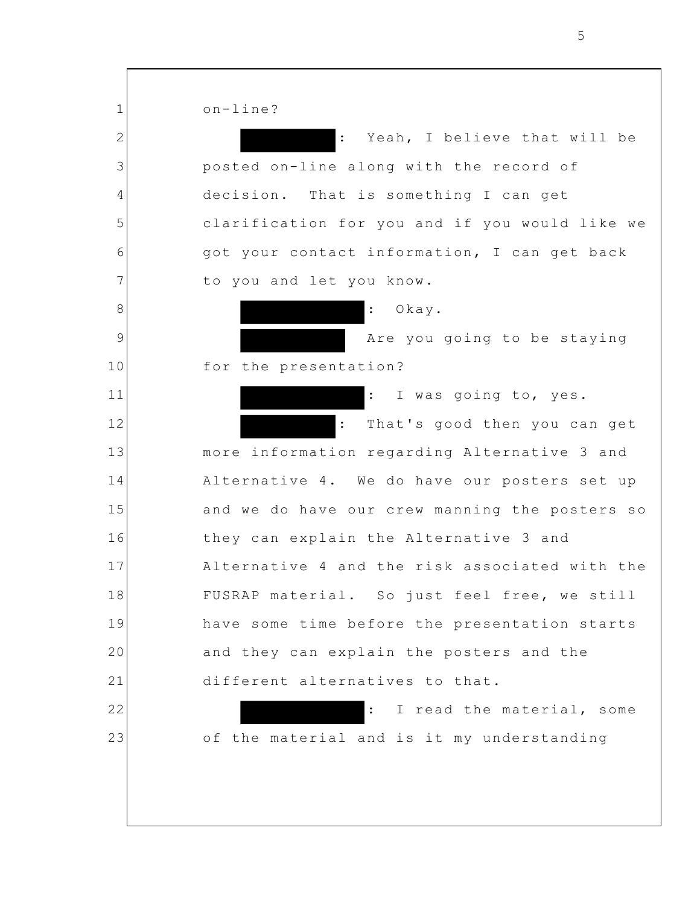1 2 3 4 5 6 7 8 9 10 11 12 13 14 15 16 17 18 19 20 21 22 23 on-line? : Yeah, I believe that will be posted on-line along with the record of decision. That is something I can get clarification for you and if you would like we got your contact information, I can get back to you and let you know. : Okay. Are you going to be staying for the presentation? : I was going to, yes. : That's good then you can get more information regarding Alternative 3 and Alternative 4. We do have our posters set up and we do have our crew manning the posters so they can explain the Alternative 3 and Alternative 4 and the risk associated with the FUSRAP material. So just feel free, we still have some time before the presentation starts and they can explain the posters and the different alternatives to that. : I read the material, some of the material and is it my understanding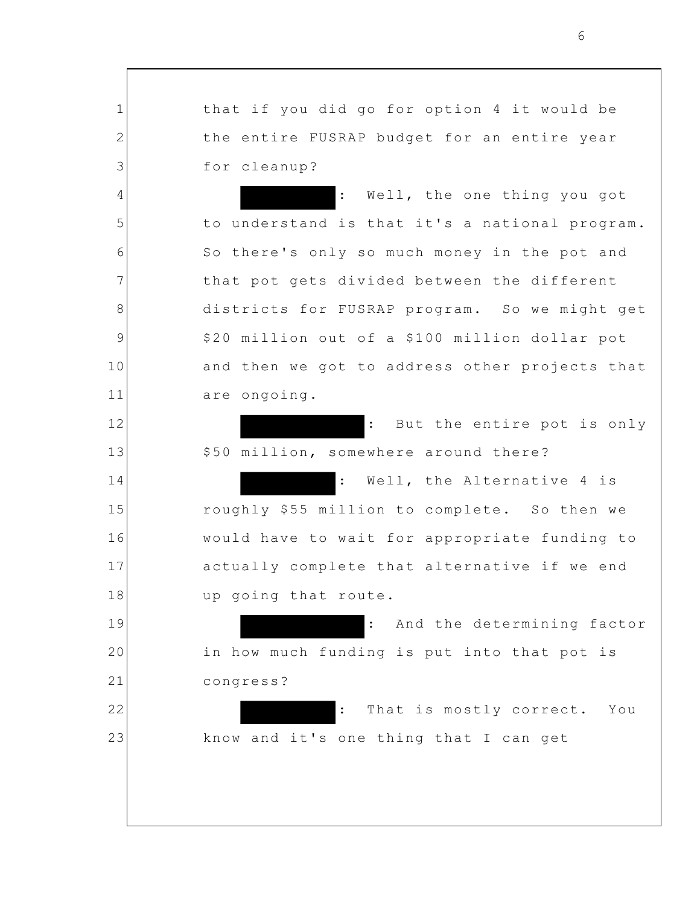that if you did go for option 4 it would be the entire FUSRAP budget for an entire year for cleanup?

1

2

3

4

5

6

7

8

9

10

11

12

13

14

15

16

17

18

19

20

21

22

23

: Well, the one thing you got to understand is that it's a national program. So there's only so much money in the pot and that pot gets divided between the different districts for FUSRAP program. So we might get \$20 million out of a \$100 million dollar pot and then we got to address other projects that are ongoing.

: But the entire pot is only \$50 million, somewhere around there?

: Well, the Alternative 4 is roughly \$55 million to complete. So then we would have to wait for appropriate funding to actually complete that alternative if we end up going that route.

: And the determining factor in how much funding is put into that pot is congress?

: That is mostly correct. You know and it's one thing that I can get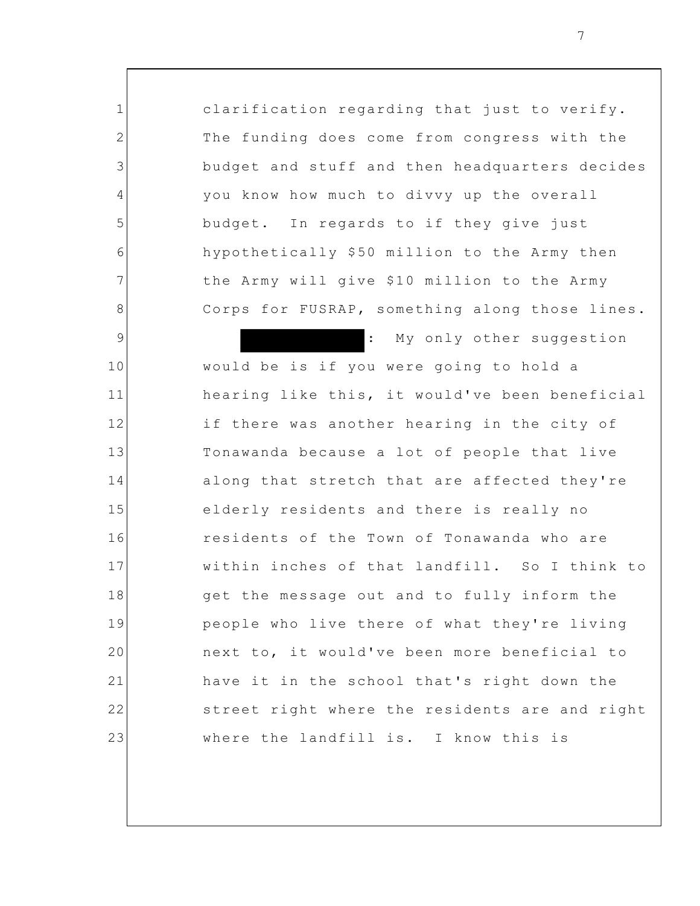clarification regarding that just to verify. The funding does come from congress with the budget and stuff and then headquarters decides you know how much to divvy up the overall budget. In regards to if they give just hypothetically \$50 million to the Army then the Army will give \$10 million to the Army Corps for FUSRAP, something along those lines. : My only other suggestion would be is if you were going to hold a hearing like this, it would've been beneficial if there was another hearing in the city of Tonawanda because a lot of people that live along that stretch that are affected they're elderly residents and there is really no residents of the Town of Tonawanda who are

1

2

3

4

5

6

7

8

9

10

11

12

13

14

15

16

17

18

19

20

21

22

23

within inches of that landfill. So I think to get the message out and to fully inform the people who live there of what they're living next to, it would've been more beneficial to have it in the school that's right down the street right where the residents are and right where the landfill is. I know this is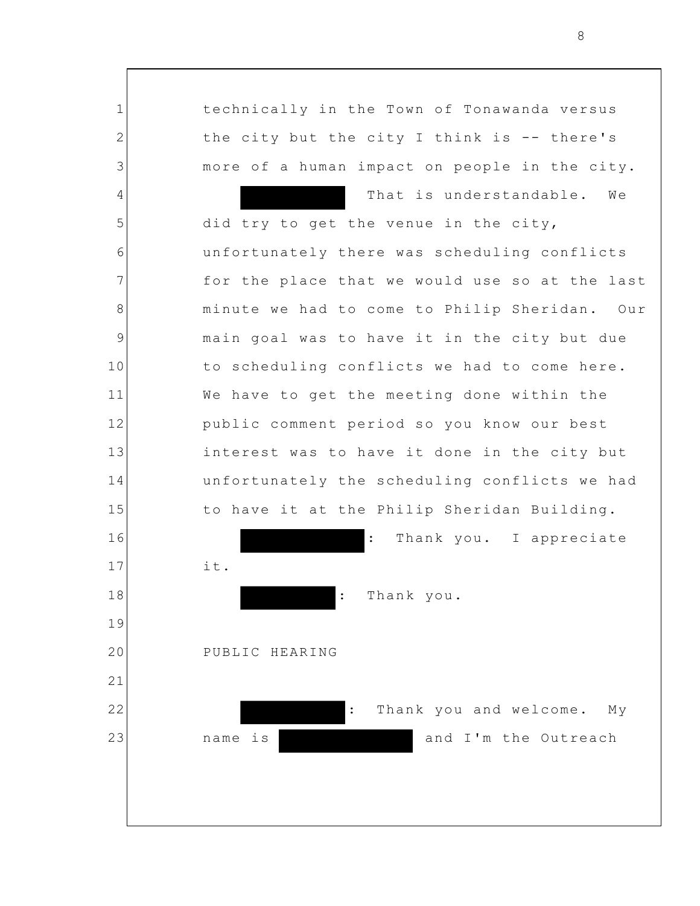1 2 3 4 5 6 7 8 9 10 11 12 13 14 15 16 17 18 19 20 21 22 23 technically in the Town of Tonawanda versus the city but the city I think is -- there's more of a human impact on people in the city. That is understandable. We did try to get the venue in the city, unfortunately there was scheduling conflicts for the place that we would use so at the last minute we had to come to Philip Sheridan. Our main goal was to have it in the city but due to scheduling conflicts we had to come here. We have to get the meeting done within the public comment period so you know our best interest was to have it done in the city but unfortunately the scheduling conflicts we had to have it at the Philip Sheridan Building. : Thank you. I appreciate it. Thank you. PUBLIC HEARING : Thank you and welcome. My name is **and I'm** the Outreach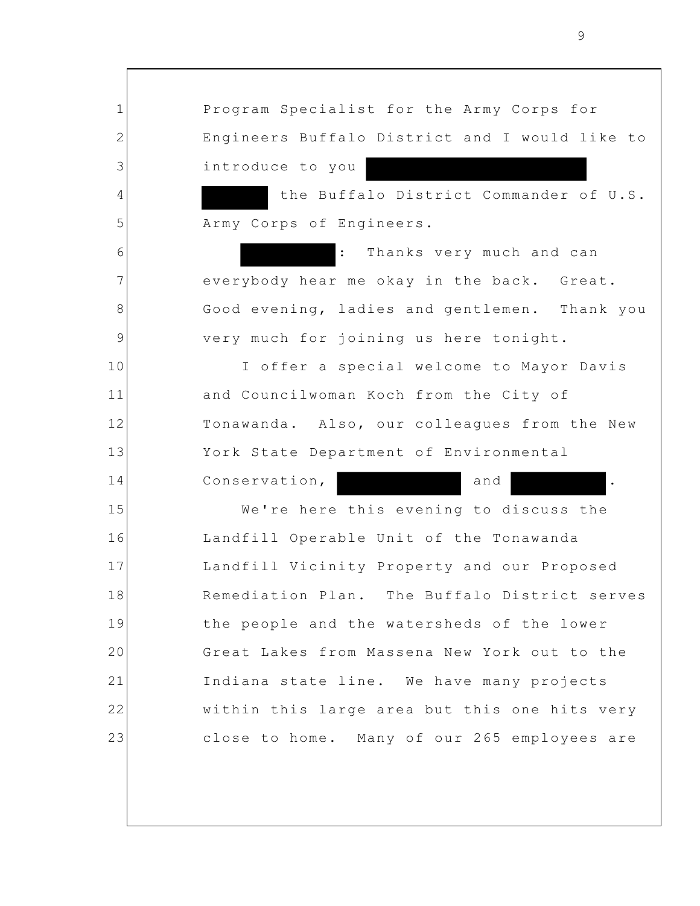1 2 3 4 5 6 7 8 9 10 11 12 13 14 15 16 17 18 19 20 21 22 23 Program Specialist for the Army Corps for Engineers Buffalo District and I would like to introduce to you the Buffalo District Commander of U.S. Army Corps of Engineers. Thanks very much and can everybody hear me okay in the back. Great. Good evening, ladies and gentlemen. Thank you very much for joining us here tonight. I offer a special welcome to Mayor Davis and Councilwoman Koch from the City of Tonawanda. Also, our colleagues from the New York State Department of Environmental Conservation, and ... We're here this evening to discuss the Landfill Operable Unit of the Tonawanda Landfill Vicinity Property and our Proposed Remediation Plan. The Buffalo District serves the people and the watersheds of the lower Great Lakes from Massena New York out to the Indiana state line. We have many projects within this large area but this one hits very close to home. Many of our 265 employees are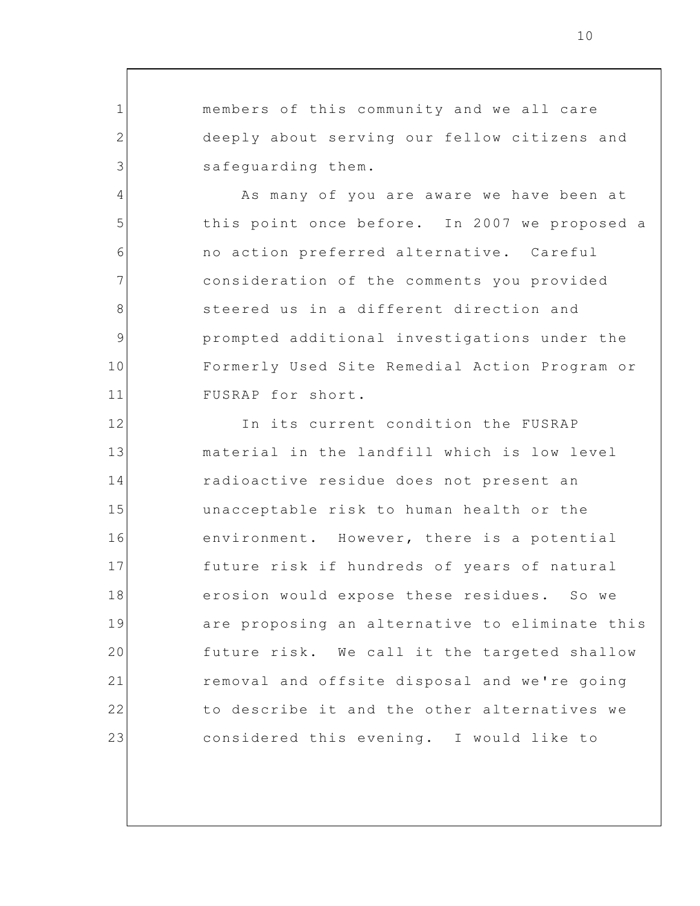members of this community and we all care deeply about serving our fellow citizens and safeguarding them.

1

2

3

4

5

6

7

8

9

10

11

As many of you are aware we have been at this point once before. In 2007 we proposed a no action preferred alternative. Careful consideration of the comments you provided steered us in a different direction and prompted additional investigations under the Formerly Used Site Remedial Action Program or FUSRAP for short.

12 13 14 15 16 17 18 19 20 21 22 23 In its current condition the FUSRAP material in the landfill which is low level radioactive residue does not present an unacceptable risk to human health or the environment. However, there is a potential future risk if hundreds of years of natural erosion would expose these residues. So we are proposing an alternative to eliminate this future risk. We call it the targeted shallow removal and offsite disposal and we're going to describe it and the other alternatives we considered this evening. I would like to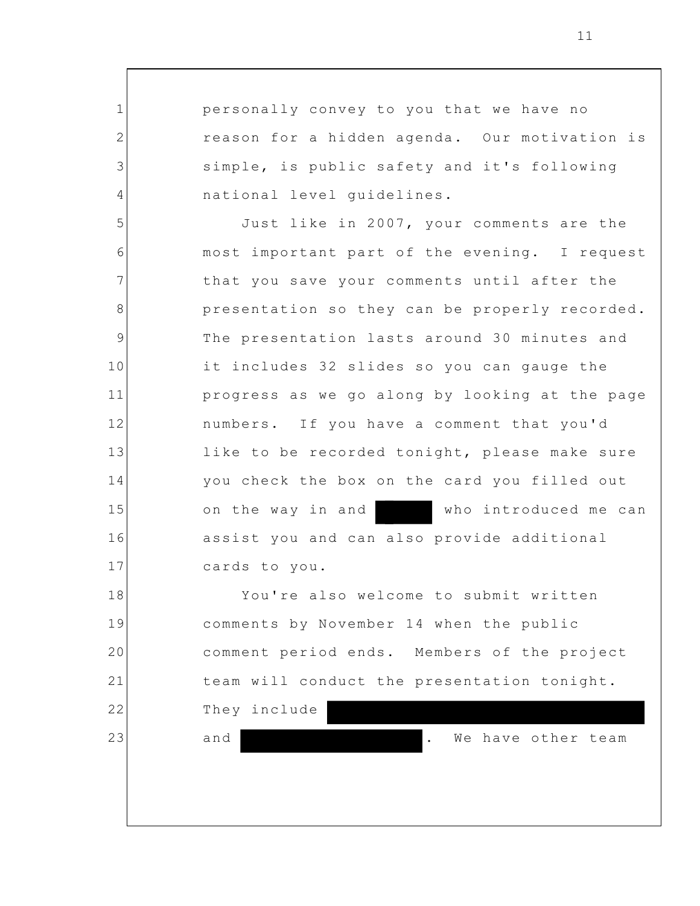personally convey to you that we have no reason for a hidden agenda. Our motivation is simple, is public safety and it's following national level guidelines.

5 6 7 8 9 10 11 12 13 14 15 16 17 Just like in 2007, your comments are the most important part of the evening. I request that you save your comments until after the presentation so they can be properly recorded. The presentation lasts around 30 minutes and it includes 32 slides so you can gauge the progress as we go along by looking at the page numbers. If you have a comment that you'd like to be recorded tonight, please make sure you check the box on the card you filled out on the way in and who introduced me can assist you and can also provide additional cards to you.

18 19 20 21 22 You're also welcome to submit written comments by November 14 when the public comment period ends. Members of the project team will conduct the presentation tonight. They include

23

1

2

3

4

and **.** We have other team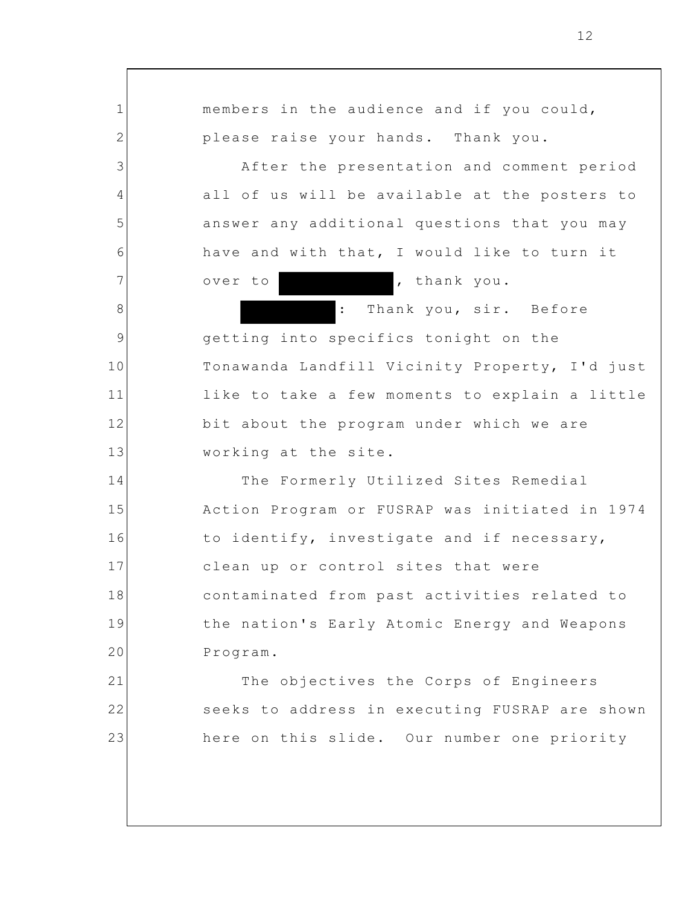1 2 3 4 5 6 7 8 9 10 11 12 13 14 15 16 17 18 19 20 21 22 23 members in the audience and if you could, please raise your hands. Thank you. After the presentation and comment period all of us will be available at the posters to answer any additional questions that you may have and with that, I would like to turn it over to , thank you. : Thank you, sir. Before getting into specifics tonight on the Tonawanda Landfill Vicinity Property, I'd just like to take a few moments to explain a little bit about the program under which we are working at the site. The Formerly Utilized Sites Remedial Action Program or FUSRAP was initiated in 1974 to identify, investigate and if necessary, clean up or control sites that were contaminated from past activities related to the nation's Early Atomic Energy and Weapons Program. The objectives the Corps of Engineers seeks to address in executing FUSRAP are shown here on this slide. Our number one priority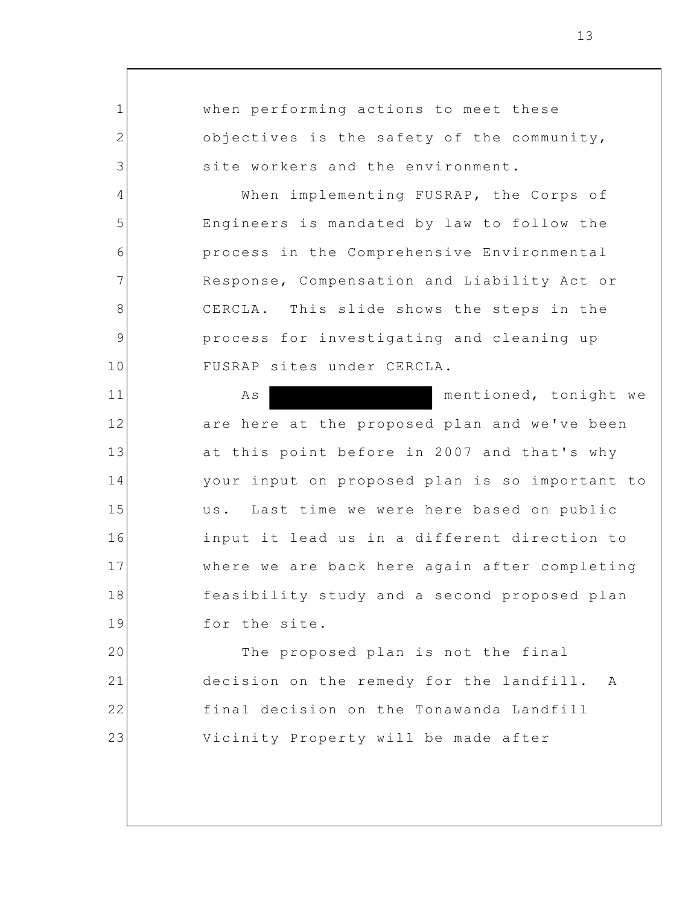1 2 3 4 5 6 7 8 9 10 11 12 13 14 15 16 17 18 19 20 21 22 23 when performing actions to meet these objectives is the safety of the community, site workers and the environment. When implementing FUSRAP, the Corps of Engineers is mandated by law to follow the process in the Comprehensive Environmental Response, Compensation and Liability Act or CERCLA. This slide shows the steps in the process for investigating and cleaning up FUSRAP sites under CERCLA. As mentioned, tonight we are here at the proposed plan and we've been at this point before in 2007 and that's why your input on proposed plan is so important to us. Last time we were here based on public input it lead us in a different direction to where we are back here again after completing feasibility study and a second proposed plan for the site. The proposed plan is not the final decision on the remedy for the landfill. A final decision on the Tonawanda Landfill Vicinity Property will be made after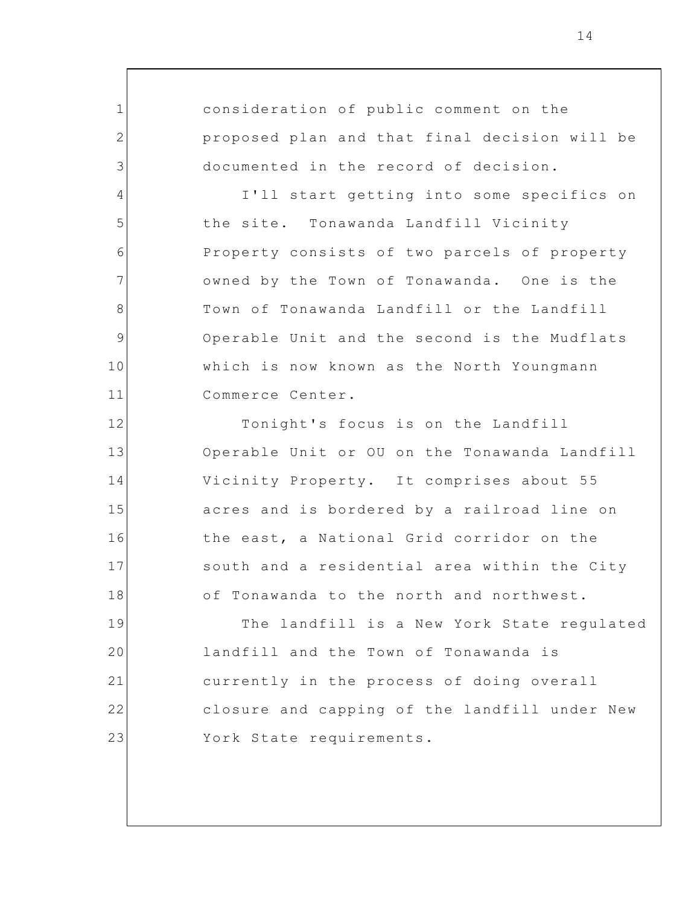consideration of public comment on the proposed plan and that final decision will be documented in the record of decision.

1

2

3

4

5

6

7

8

9

10

11

12

13

14

15

16

17

18

I'll start getting into some specifics on the site. Tonawanda Landfill Vicinity Property consists of two parcels of property owned by the Town of Tonawanda. One is the Town of Tonawanda Landfill or the Landfill Operable Unit and the second is the Mudflats which is now known as the North Youngmann Commerce Center.

Tonight's focus is on the Landfill Operable Unit or OU on the Tonawanda Landfill Vicinity Property. It comprises about 55 acres and is bordered by a railroad line on the east, a National Grid corridor on the south and a residential area within the City of Tonawanda to the north and northwest.

19 20 21 22 23 The landfill is a New York State regulated landfill and the Town of Tonawanda is currently in the process of doing overall closure and capping of the landfill under New York State requirements.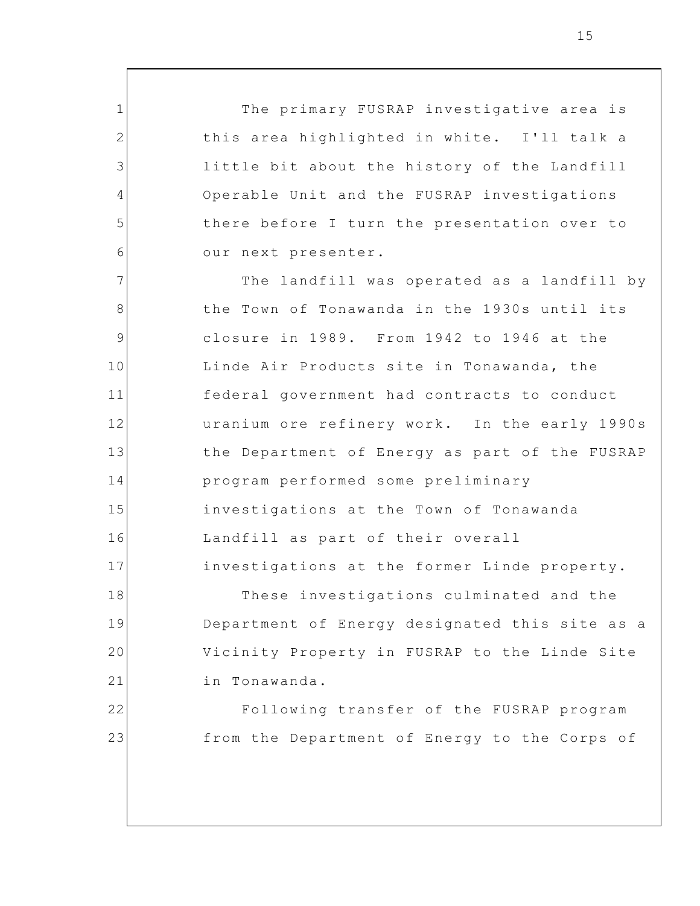The primary FUSRAP investigative area is this area highlighted in white. I'll talk a little bit about the history of the Landfill Operable Unit and the FUSRAP investigations there before I turn the presentation over to our next presenter.

1

2

3

4

5

6

18

19

20

21

22

23

7 8 9 10 11 12 13 14 15 16 17 The landfill was operated as a landfill by the Town of Tonawanda in the 1930s until its closure in 1989. From 1942 to 1946 at the Linde Air Products site in Tonawanda, the federal government had contracts to conduct uranium ore refinery work. In the early 1990s the Department of Energy as part of the FUSRAP program performed some preliminary investigations at the Town of Tonawanda Landfill as part of their overall investigations at the former Linde property.

These investigations culminated and the Department of Energy designated this site as a Vicinity Property in FUSRAP to the Linde Site in Tonawanda.

Following transfer of the FUSRAP program from the Department of Energy to the Corps of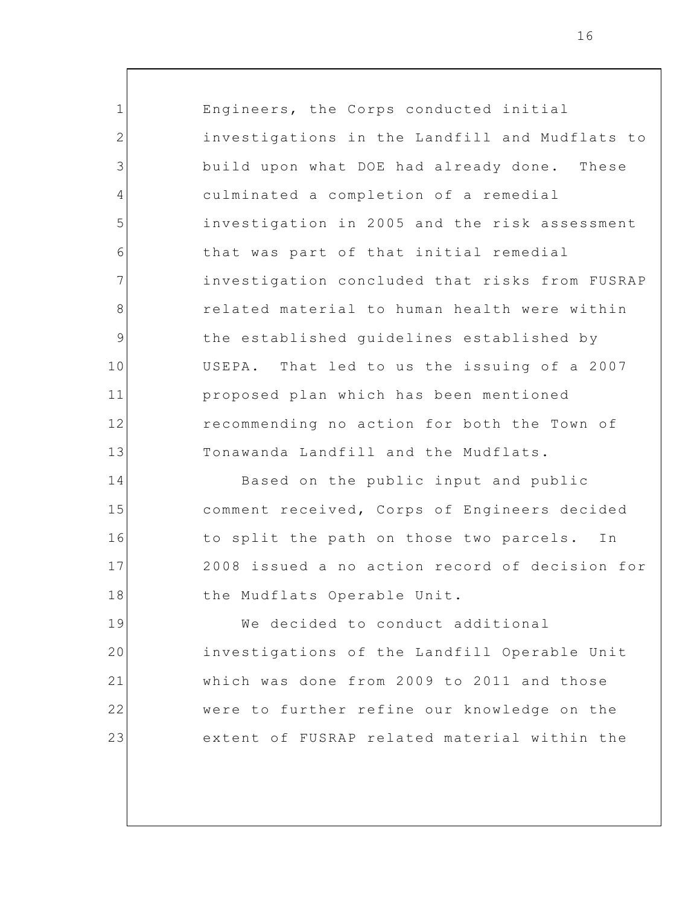Engineers, the Corps conducted initial investigations in the Landfill and Mudflats to build upon what DOE had already done. These culminated a completion of a remedial investigation in 2005 and the risk assessment that was part of that initial remedial investigation concluded that risks from FUSRAP related material to human health were within the established guidelines established by USEPA. That led to us the issuing of a 2007 proposed plan which has been mentioned recommending no action for both the Town of Tonawanda Landfill and the Mudflats.

1

2

3

4

5

6

7

8

9

10

11

12

13

14

15

16

17

18

Based on the public input and public comment received, Corps of Engineers decided to split the path on those two parcels. In 2008 issued a no action record of decision for the Mudflats Operable Unit.

19 20 21 22 23 We decided to conduct additional investigations of the Landfill Operable Unit which was done from 2009 to 2011 and those were to further refine our knowledge on the extent of FUSRAP related material within the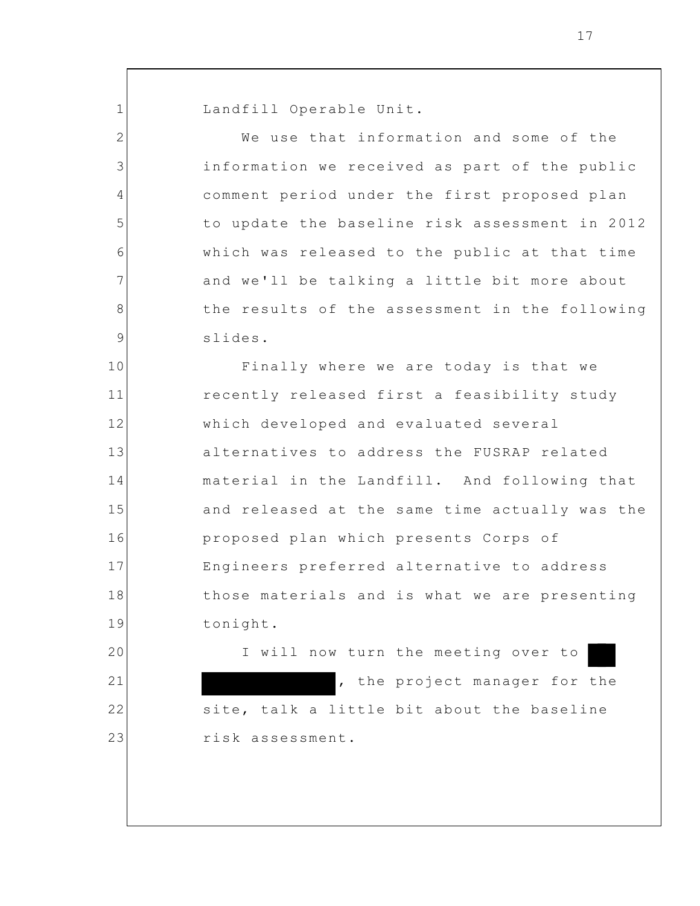Landfill Operable Unit.

1

20

21

22

23

2 3 4 5 6 7 8 9 10 11 12 13 14 15 16 17 18 19 We use that information and some of the information we received as part of the public comment period under the first proposed plan to update the baseline risk assessment in 2012 which was released to the public at that time and we'll be talking a little bit more about the results of the assessment in the following slides. Finally where we are today is that we recently released first a feasibility study which developed and evaluated several alternatives to address the FUSRAP related material in the Landfill. And following that and released at the same time actually was the proposed plan which presents Corps of Engineers preferred alternative to address those materials and is what we are presenting tonight.

I will now turn the meeting over to , the project manager for the site, talk a little bit about the baseline risk assessment.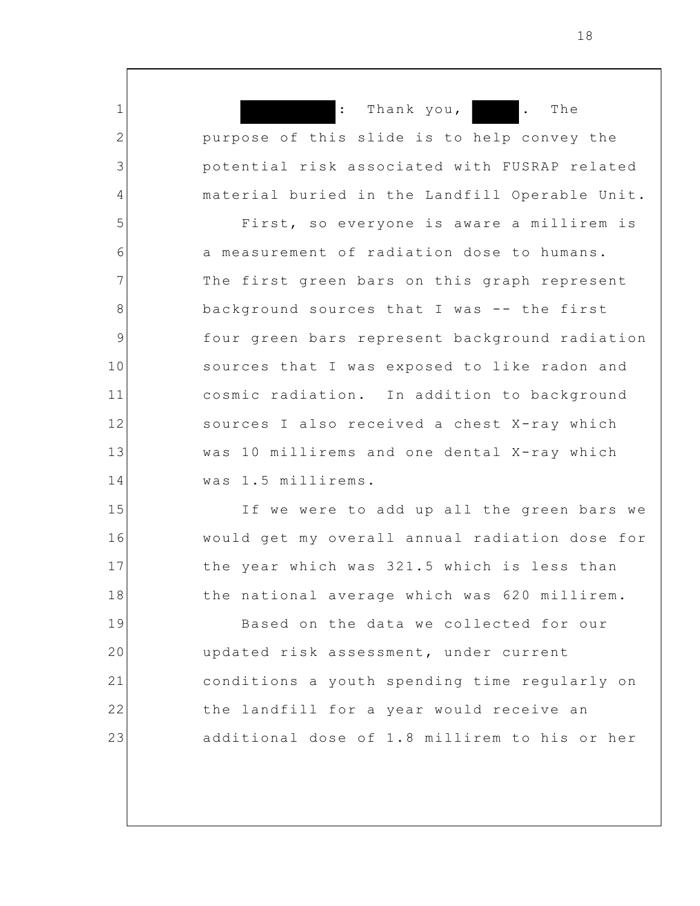1 2 3 4 5 6 7 8 9 10 11 12 13 14 15 16 17 : Thank you, **.** The purpose of this slide is to help convey the potential risk associated with FUSRAP related material buried in the Landfill Operable Unit. First, so everyone is aware a millirem is a measurement of radiation dose to humans. The first green bars on this graph represent background sources that I was -- the first four green bars represent background radiation sources that I was exposed to like radon and cosmic radiation. In addition to background sources I also received a chest X-ray which was 10 millirems and one dental X-ray which was 1.5 millirems. If we were to add up all the green bars we would get my overall annual radiation dose for the year which was 321.5 which is less than

19 20 21 22 23 Based on the data we collected for our updated risk assessment, under current conditions a youth spending time regularly on the landfill for a year would receive an additional dose of 1.8 millirem to his or her

the national average which was 620 millirem.

18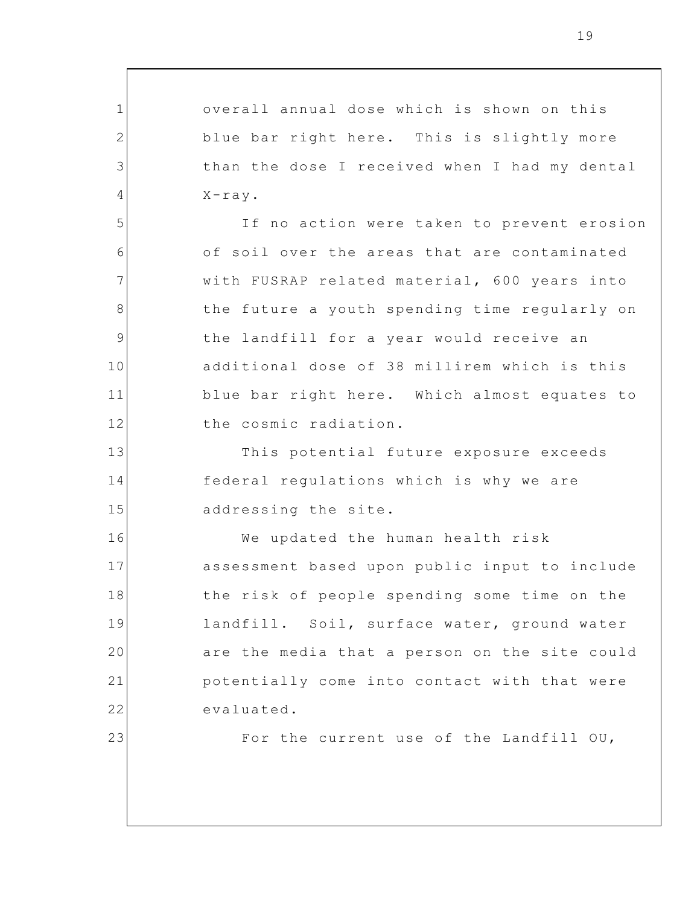1 2 3 4 5 6 7 8 9 10 11 12 13 14 15 16 17 18 19 20 21 22 23 overall annual dose which is shown on this blue bar right here. This is slightly more than the dose I received when I had my dental  $X-ray$ . If no action were taken to prevent erosion of soil over the areas that are contaminated with FUSRAP related material, 600 years into the future a youth spending time regularly on the landfill for a year would receive an additional dose of 38 millirem which is this blue bar right here. Which almost equates to the cosmic radiation. This potential future exposure exceeds federal regulations which is why we are addressing the site. We updated the human health risk assessment based upon public input to include the risk of people spending some time on the landfill. Soil, surface water, ground water are the media that a person on the site could potentially come into contact with that were evaluated. For the current use of the Landfill OU,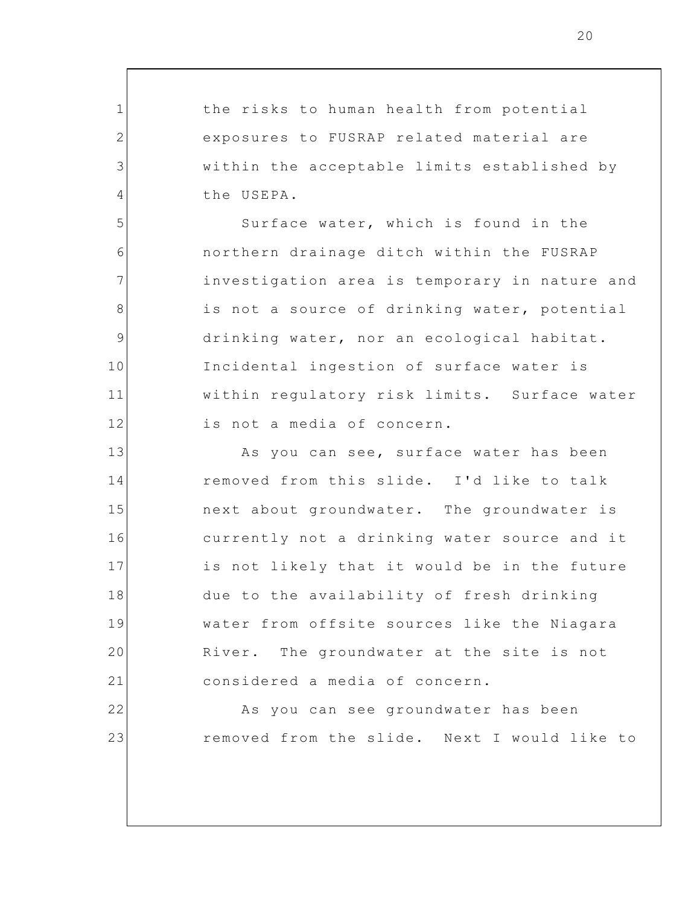the risks to human health from potential exposures to FUSRAP related material are within the acceptable limits established by the USEPA.

1

2

3

4

5

6

7

8

9

10

11

12

13

14

15

16

17

18

19

20

21

22

23

Surface water, which is found in the northern drainage ditch within the FUSRAP investigation area is temporary in nature and is not a source of drinking water, potential drinking water, nor an ecological habitat. Incidental ingestion of surface water is within regulatory risk limits. Surface water is not a media of concern.

As you can see, surface water has been removed from this slide. I'd like to talk next about groundwater. The groundwater is currently not a drinking water source and it is not likely that it would be in the future due to the availability of fresh drinking water from offsite sources like the Niagara River. The groundwater at the site is not considered a media of concern.

> As you can see groundwater has been removed from the slide. Next I would like to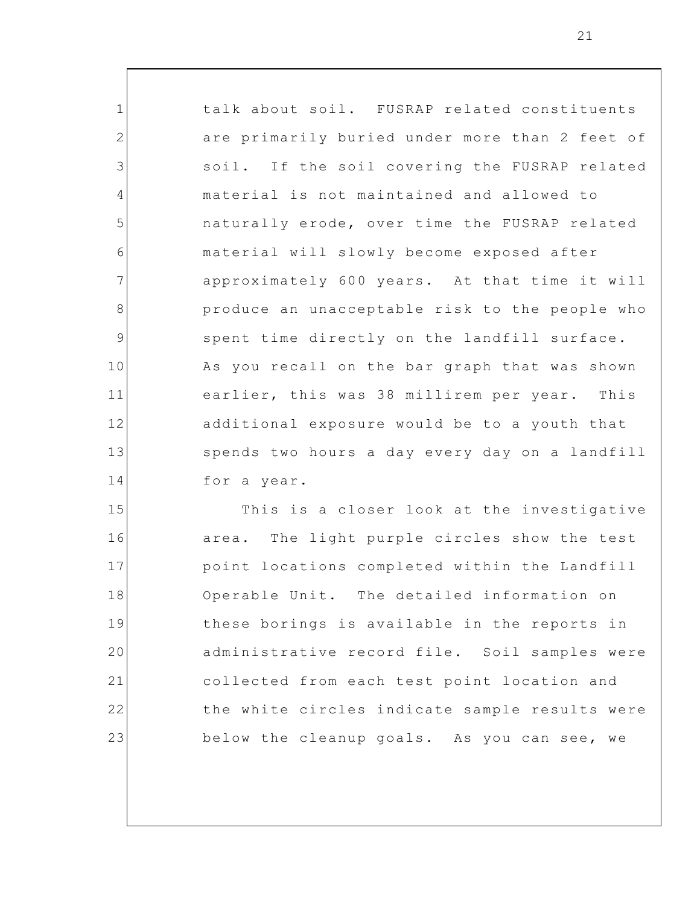talk about soil. FUSRAP related constituents are primarily buried under more than 2 feet of soil. If the soil covering the FUSRAP related material is not maintained and allowed to naturally erode, over time the FUSRAP related material will slowly become exposed after approximately 600 years. At that time it will produce an unacceptable risk to the people who spent time directly on the landfill surface. As you recall on the bar graph that was shown earlier, this was 38 millirem per year. This additional exposure would be to a youth that spends two hours a day every day on a landfill for a year.

1

2

3

4

5

6

7

8

9

10

11

12

13

14

15 16 17 18 19 20 21 22 23 This is a closer look at the investigative area. The light purple circles show the test point locations completed within the Landfill Operable Unit. The detailed information on these borings is available in the reports in administrative record file. Soil samples were collected from each test point location and the white circles indicate sample results were below the cleanup goals. As you can see, we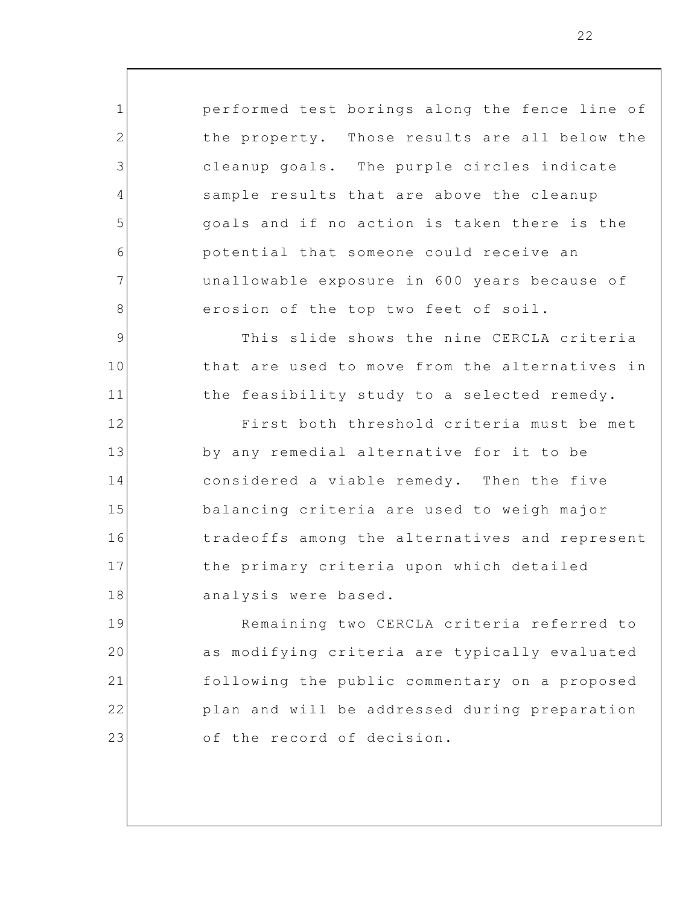performed test borings along the fence line of the property. Those results are all below the cleanup goals. The purple circles indicate sample results that are above the cleanup goals and if no action is taken there is the potential that someone could receive an unallowable exposure in 600 years because of erosion of the top two feet of soil.

1

2

3

4

5

6

7

8

9

10

11

This slide shows the nine CERCLA criteria that are used to move from the alternatives in the feasibility study to a selected remedy.

12 13 14 15 16 17 18 First both threshold criteria must be met by any remedial alternative for it to be considered a viable remedy. Then the five balancing criteria are used to weigh major tradeoffs among the alternatives and represent the primary criteria upon which detailed analysis were based.

19 20 21 22 23 Remaining two CERCLA criteria referred to as modifying criteria are typically evaluated following the public commentary on a proposed plan and will be addressed during preparation of the record of decision.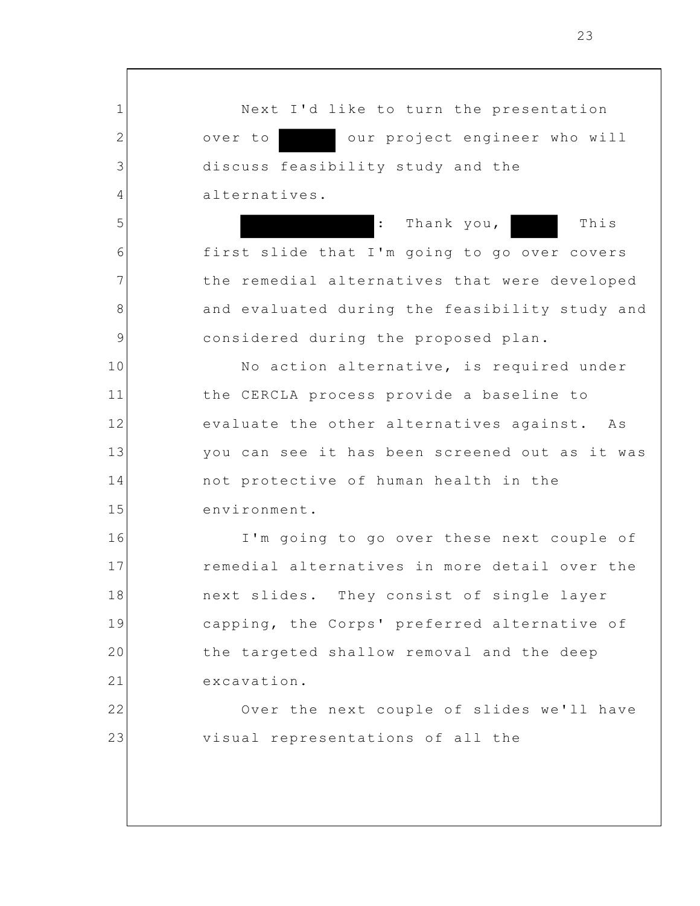Next I'd like to turn the presentation over to our project engineer who will discuss feasibility study and the alternatives. : Thank you, This

1

2

3

4

5

6

7

8

9

16

17

18

19

20

21

22

23

first slide that I'm going to go over covers the remedial alternatives that were developed and evaluated during the feasibility study and considered during the proposed plan.

10 11 12 13 14 15 No action alternative, is required under the CERCLA process provide a baseline to evaluate the other alternatives against. As you can see it has been screened out as it was not protective of human health in the environment.

I'm going to go over these next couple of remedial alternatives in more detail over the next slides. They consist of single layer capping, the Corps' preferred alternative of the targeted shallow removal and the deep excavation.

Over the next couple of slides we'll have visual representations of all the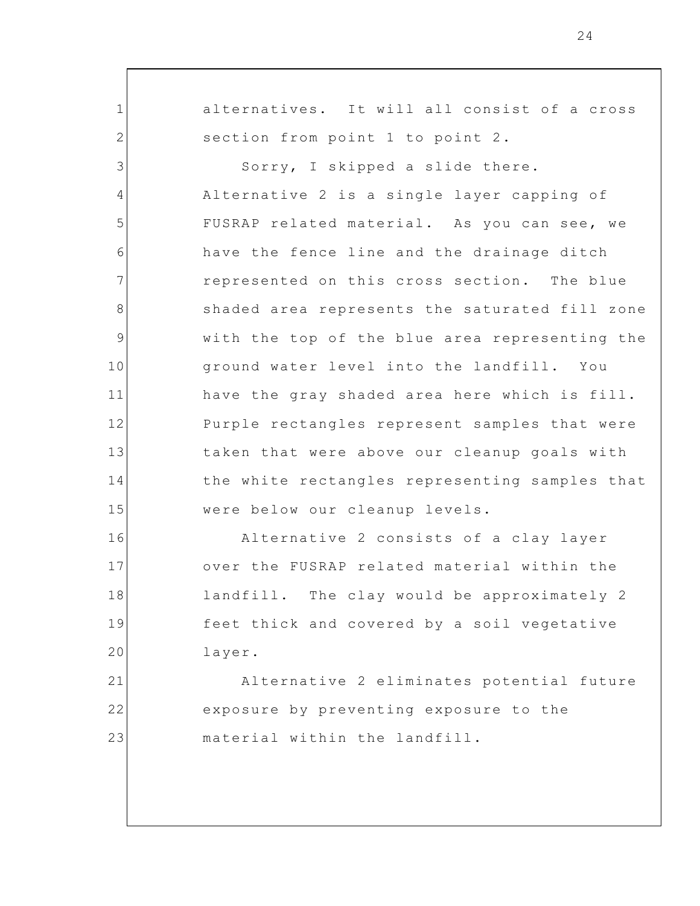alternatives. It will all consist of a cross section from point 1 to point 2.

1

2

16

17

18

19

20

3 4 5 6 7 8 9 10 11 12 13 14 15 Sorry, I skipped a slide there. Alternative 2 is a single layer capping of FUSRAP related material. As you can see, we have the fence line and the drainage ditch represented on this cross section. The blue shaded area represents the saturated fill zone with the top of the blue area representing the ground water level into the landfill. You have the gray shaded area here which is fill. Purple rectangles represent samples that were taken that were above our cleanup goals with the white rectangles representing samples that were below our cleanup levels.

Alternative 2 consists of a clay layer over the FUSRAP related material within the landfill. The clay would be approximately 2 feet thick and covered by a soil vegetative layer.

21 22 23 Alternative 2 eliminates potential future exposure by preventing exposure to the material within the landfill.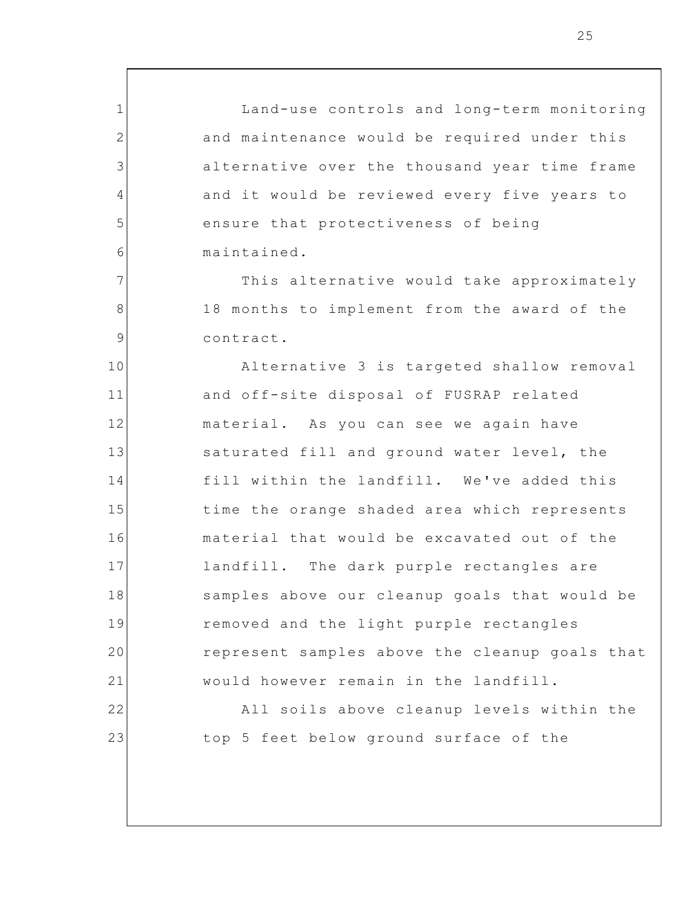Land-use controls and long-term monitoring and maintenance would be required under this alternative over the thousand year time frame and it would be reviewed every five years to ensure that protectiveness of being maintained.

1

2

3

4

5

6

7

8

9

22

23

This alternative would take approximately 18 months to implement from the award of the contract.

10 11 12 13 14 15 16 17 18 19 20 21 Alternative 3 is targeted shallow removal and off-site disposal of FUSRAP related material. As you can see we again have saturated fill and ground water level, the fill within the landfill. We've added this time the orange shaded area which represents material that would be excavated out of the landfill. The dark purple rectangles are samples above our cleanup goals that would be removed and the light purple rectangles represent samples above the cleanup goals that would however remain in the landfill.

> All soils above cleanup levels within the top 5 feet below ground surface of the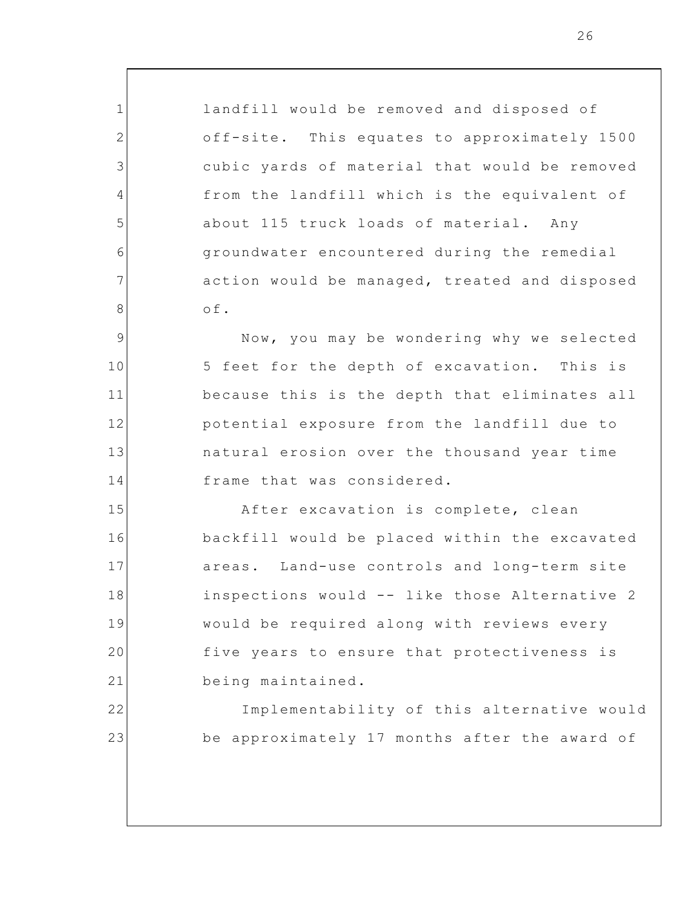landfill would be removed and disposed of off-site. This equates to approximately 1500 cubic yards of material that would be removed from the landfill which is the equivalent of about 115 truck loads of material. Any groundwater encountered during the remedial action would be managed, treated and disposed of.

1

2

3

4

5

6

7

8

22

23

9 10 11 12 13 14 Now, you may be wondering why we selected 5 feet for the depth of excavation. This is because this is the depth that eliminates all potential exposure from the landfill due to natural erosion over the thousand year time frame that was considered.

15 16 17 18 19 20 21 After excavation is complete, clean backfill would be placed within the excavated areas. Land-use controls and long-term site inspections would -- like those Alternative 2 would be required along with reviews every five years to ensure that protectiveness is being maintained.

> Implementability of this alternative would be approximately 17 months after the award of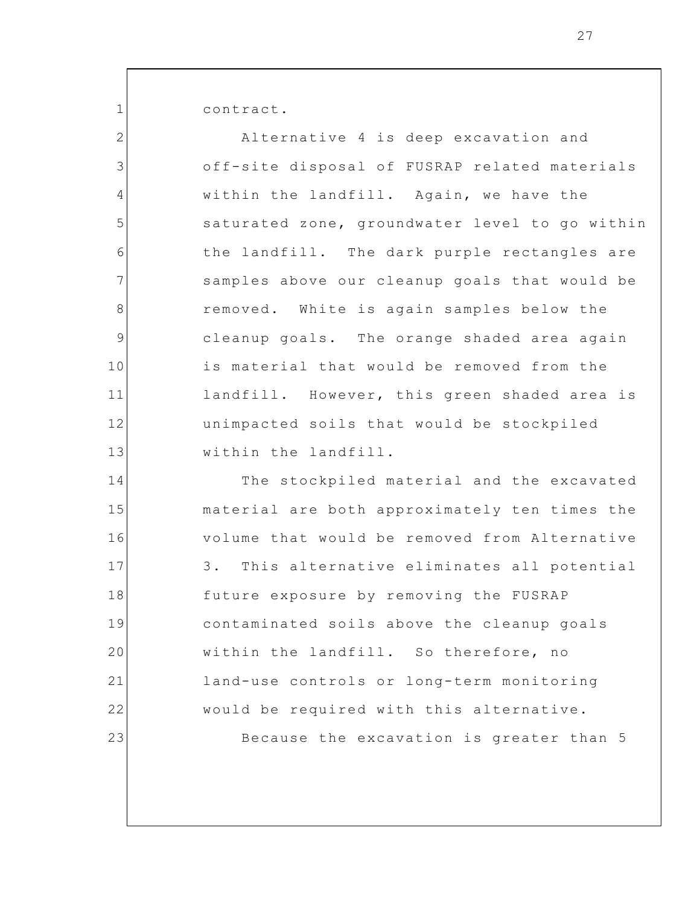contract.

1

17

18

19

20

21

22

23

2 3 4 5 6 7 8 9 10 11 12 13 14 15 16 Alternative 4 is deep excavation and off-site disposal of FUSRAP related materials within the landfill. Again, we have the saturated zone, groundwater level to go within the landfill. The dark purple rectangles are samples above our cleanup goals that would be removed. White is again samples below the cleanup goals. The orange shaded area again is material that would be removed from the landfill. However, this green shaded area is unimpacted soils that would be stockpiled within the landfill. The stockpiled material and the excavated material are both approximately ten times the volume that would be removed from Alternative

3. This alternative eliminates all potential future exposure by removing the FUSRAP contaminated soils above the cleanup goals within the landfill. So therefore, no land-use controls or long-term monitoring would be required with this alternative. Because the excavation is greater than 5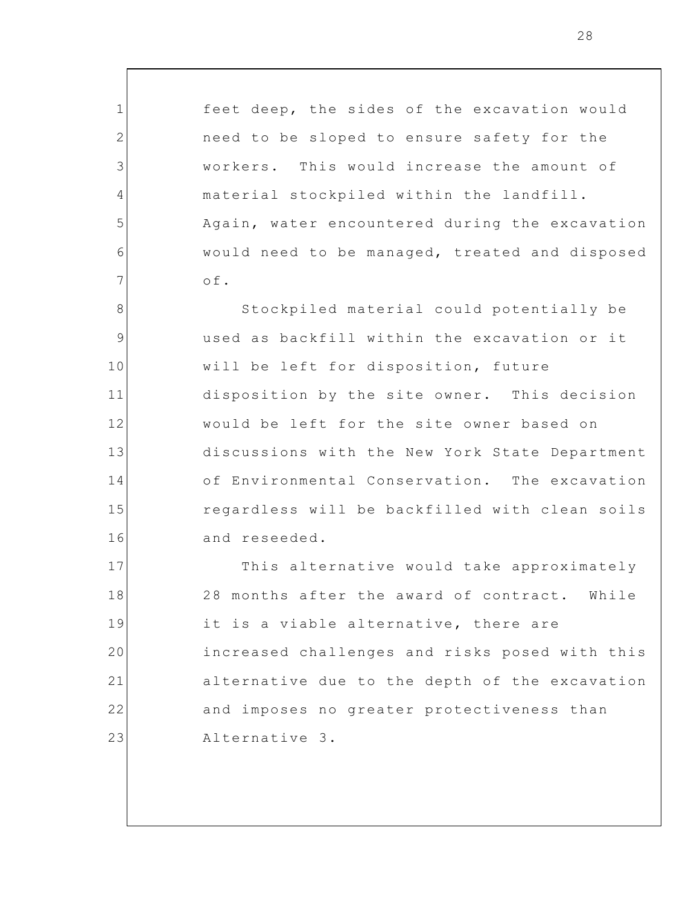feet deep, the sides of the excavation would need to be sloped to ensure safety for the workers. This would increase the amount of material stockpiled within the landfill. Again, water encountered during the excavation would need to be managed, treated and disposed of.

1

2

3

4

5

6

7

8 9 10 11 12 13 14 15 16 Stockpiled material could potentially be used as backfill within the excavation or it will be left for disposition, future disposition by the site owner. This decision would be left for the site owner based on discussions with the New York State Department of Environmental Conservation. The excavation regardless will be backfilled with clean soils and reseeded.

17 18 19 20 21 22 23 This alternative would take approximately 28 months after the award of contract. While it is a viable alternative, there are increased challenges and risks posed with this alternative due to the depth of the excavation and imposes no greater protectiveness than Alternative 3.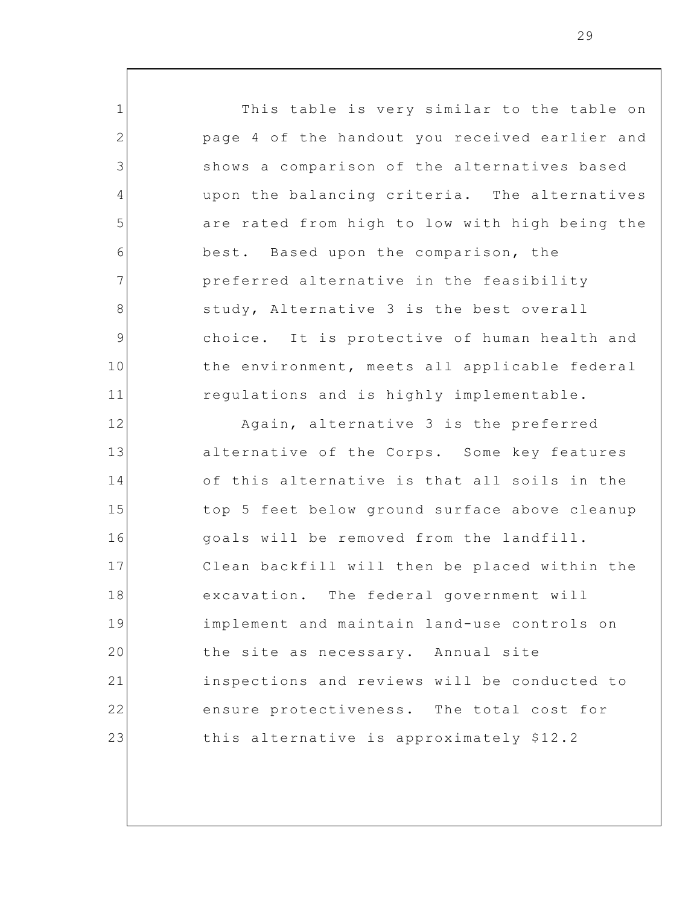1 2 3 4 5 6 7 8 9 10 11 12 13 14 15 16 17 18 19 20 21 This table is very similar to the table on page 4 of the handout you received earlier and shows a comparison of the alternatives based upon the balancing criteria. The alternatives are rated from high to low with high being the best. Based upon the comparison, the preferred alternative in the feasibility study, Alternative 3 is the best overall choice. It is protective of human health and the environment, meets all applicable federal regulations and is highly implementable. Again, alternative 3 is the preferred alternative of the Corps. Some key features of this alternative is that all soils in the top 5 feet below ground surface above cleanup goals will be removed from the landfill. Clean backfill will then be placed within the excavation. The federal government will implement and maintain land-use controls on the site as necessary. Annual site inspections and reviews will be conducted to

this alternative is approximately \$12.2

ensure protectiveness. The total cost for

22

23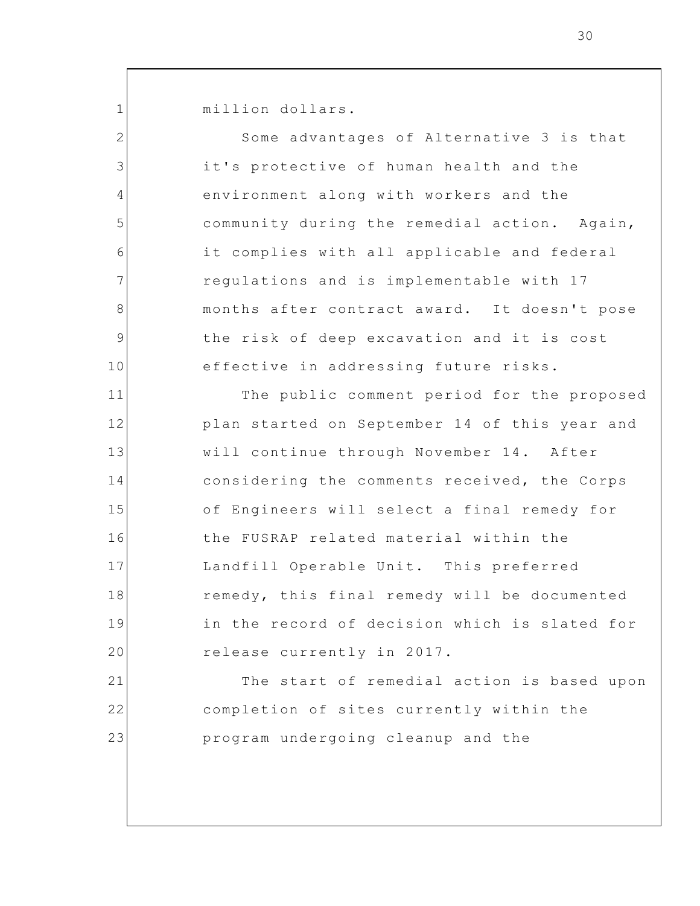million dollars.

1

23

2 3 4 5 6 7 8 9 10 11 12 13 14 15 16 17 18 19 20 21 22 Some advantages of Alternative 3 is that it's protective of human health and the environment along with workers and the community during the remedial action. Again, it complies with all applicable and federal regulations and is implementable with 17 months after contract award. It doesn't pose the risk of deep excavation and it is cost effective in addressing future risks. The public comment period for the proposed plan started on September 14 of this year and will continue through November 14. After considering the comments received, the Corps of Engineers will select a final remedy for the FUSRAP related material within the Landfill Operable Unit. This preferred remedy, this final remedy will be documented in the record of decision which is slated for release currently in 2017. The start of remedial action is based upon completion of sites currently within the

program undergoing cleanup and the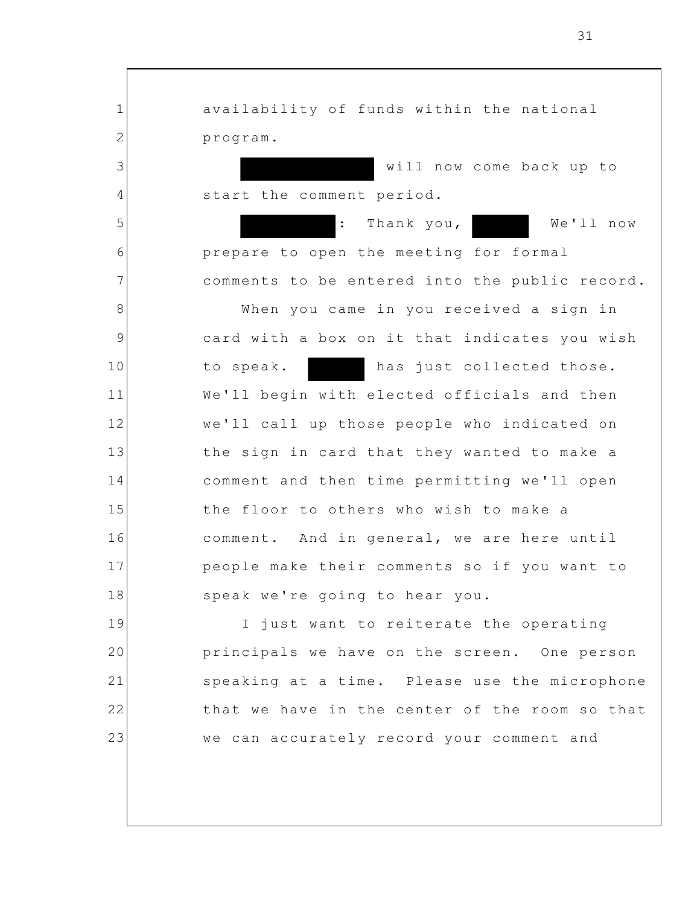1 2 3 4 5 6 7 8 9 10 11 12 13 14 15 16 17 18 19 20 21 22 23 availability of funds within the national program. will now come back up to start the comment period. : Thank you, We'll now prepare to open the meeting for formal comments to be entered into the public record. When you came in you received a sign in card with a box on it that indicates you wish to speak. has just collected those. We'll begin with elected officials and then we'll call up those people who indicated on the sign in card that they wanted to make a comment and then time permitting we'll open the floor to others who wish to make a comment. And in general, we are here until people make their comments so if you want to speak we're going to hear you. I just want to reiterate the operating principals we have on the screen. One person speaking at a time. Please use the microphone that we have in the center of the room so that we can accurately record your comment and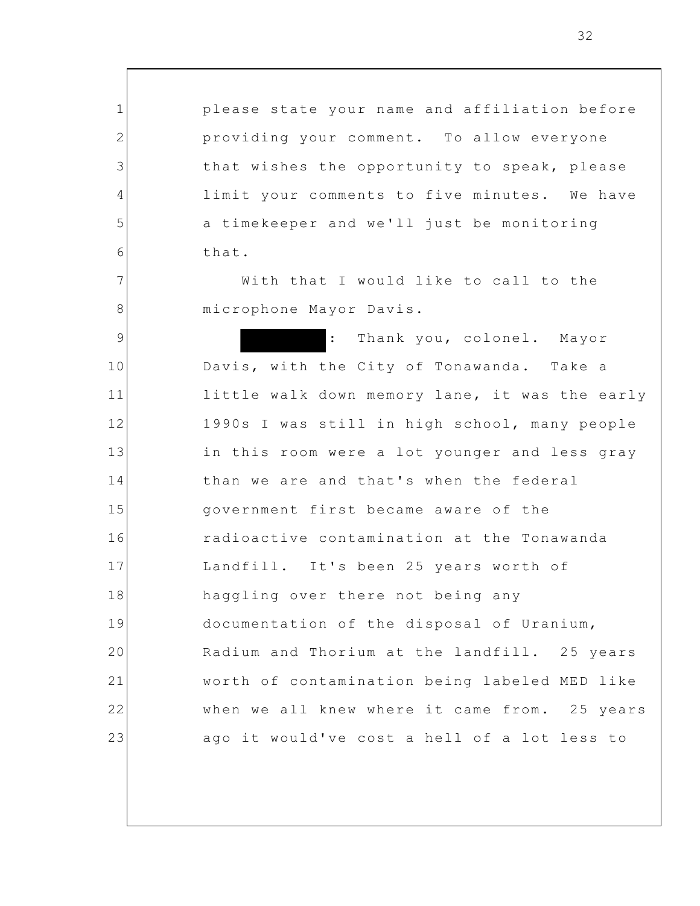1 2 3 4 5 6 7 8 9 10 11 12 13 14 15 16 17 18 19 20 21 22 23 please state your name and affiliation before providing your comment. To allow everyone that wishes the opportunity to speak, please limit your comments to five minutes. We have a timekeeper and we'll just be monitoring that. With that I would like to call to the microphone Mayor Davis. : Thank you, colonel. Mayor Davis, with the City of Tonawanda. Take a little walk down memory lane, it was the early 1990s I was still in high school, many people in this room were a lot younger and less gray than we are and that's when the federal government first became aware of the radioactive contamination at the Tonawanda Landfill. It's been 25 years worth of haggling over there not being any documentation of the disposal of Uranium, Radium and Thorium at the landfill. 25 years worth of contamination being labeled MED like when we all knew where it came from. 25 years ago it would've cost a hell of a lot less to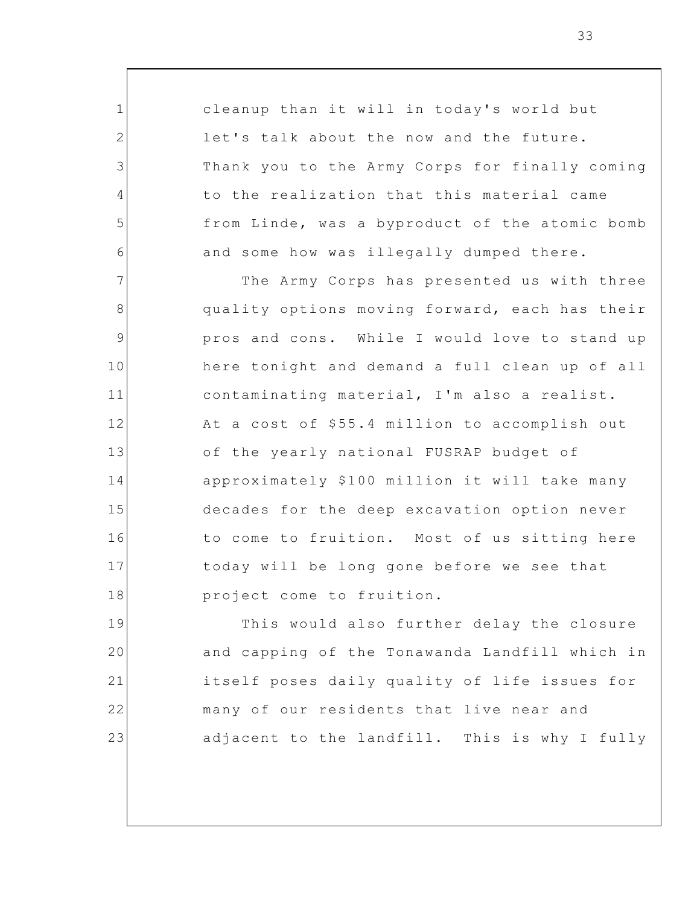cleanup than it will in today's world but let's talk about the now and the future. Thank you to the Army Corps for finally coming to the realization that this material came from Linde, was a byproduct of the atomic bomb and some how was illegally dumped there.

1

2

3

4

5

6

7 8 9 10 11 12 13 14 15 16 17 18 The Army Corps has presented us with three quality options moving forward, each has their pros and cons. While I would love to stand up here tonight and demand a full clean up of all contaminating material, I'm also a realist. At a cost of \$55.4 million to accomplish out of the yearly national FUSRAP budget of approximately \$100 million it will take many decades for the deep excavation option never to come to fruition. Most of us sitting here today will be long gone before we see that project come to fruition.

19 20 21 22 23 This would also further delay the closure and capping of the Tonawanda Landfill which in itself poses daily quality of life issues for many of our residents that live near and adjacent to the landfill. This is why I fully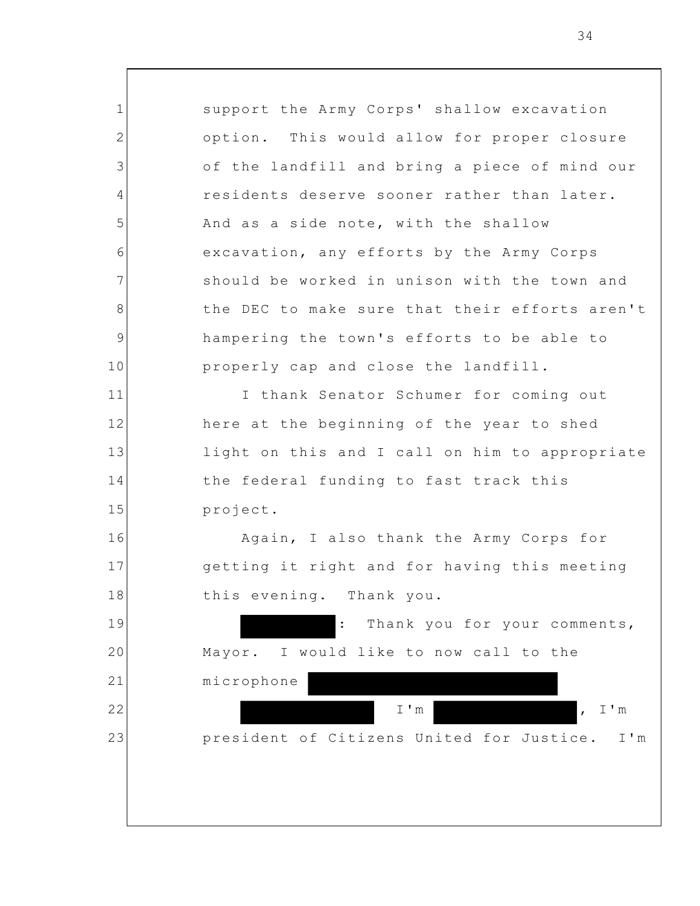1 2 3 4 5 6 7 8 9 10 11 12 13 14 15 16 17 18 19 20 21 22 23 support the Army Corps' shallow excavation option. This would allow for proper closure of the landfill and bring a piece of mind our residents deserve sooner rather than later. And as a side note, with the shallow excavation, any efforts by the Army Corps should be worked in unison with the town and the DEC to make sure that their efforts aren't hampering the town's efforts to be able to properly cap and close the landfill. I thank Senator Schumer for coming out here at the beginning of the year to shed light on this and I call on him to appropriate the federal funding to fast track this project. Again, I also thank the Army Corps for getting it right and for having this meeting this evening. Thank you. : Thank you for your comments, Mayor. I would like to now call to the microphone I'm , I'm president of Citizens United for Justice. I'm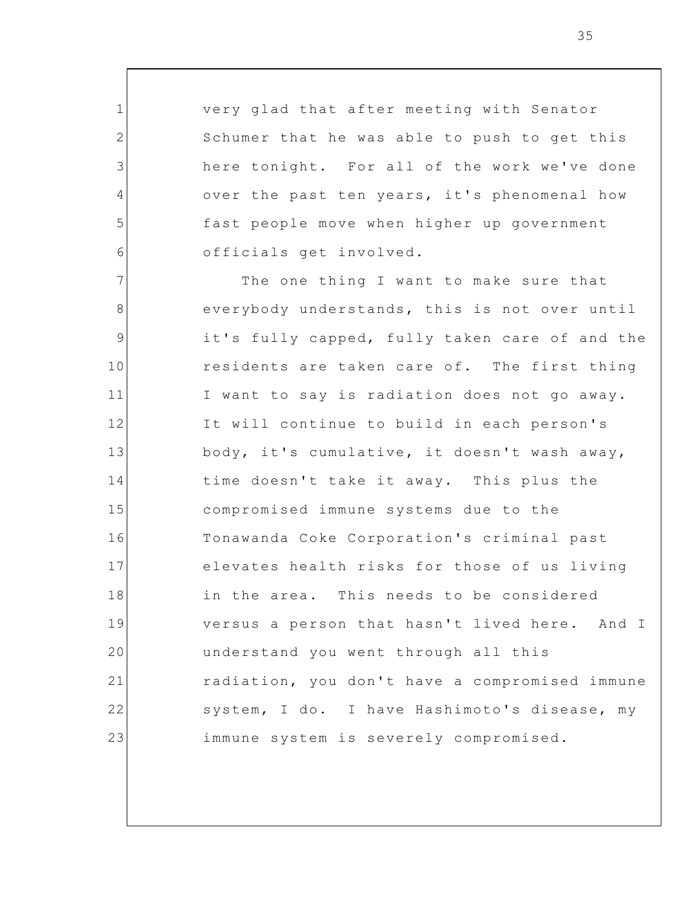very glad that after meeting with Senator Schumer that he was able to push to get this here tonight. For all of the work we've done over the past ten years, it's phenomenal how fast people move when higher up government officials get involved.

1

2

3

4

5

6

7 8 9 10 11 12 13 14 15 16 17 18 19 20 21 22 23 The one thing I want to make sure that everybody understands, this is not over until it's fully capped, fully taken care of and the residents are taken care of. The first thing I want to say is radiation does not go away. It will continue to build in each person's body, it's cumulative, it doesn't wash away, time doesn't take it away. This plus the compromised immune systems due to the Tonawanda Coke Corporation's criminal past elevates health risks for those of us living in the area. This needs to be considered versus a person that hasn't lived here. And I understand you went through all this radiation, you don't have a compromised immune system, I do. I have Hashimoto's disease, my immune system is severely compromised.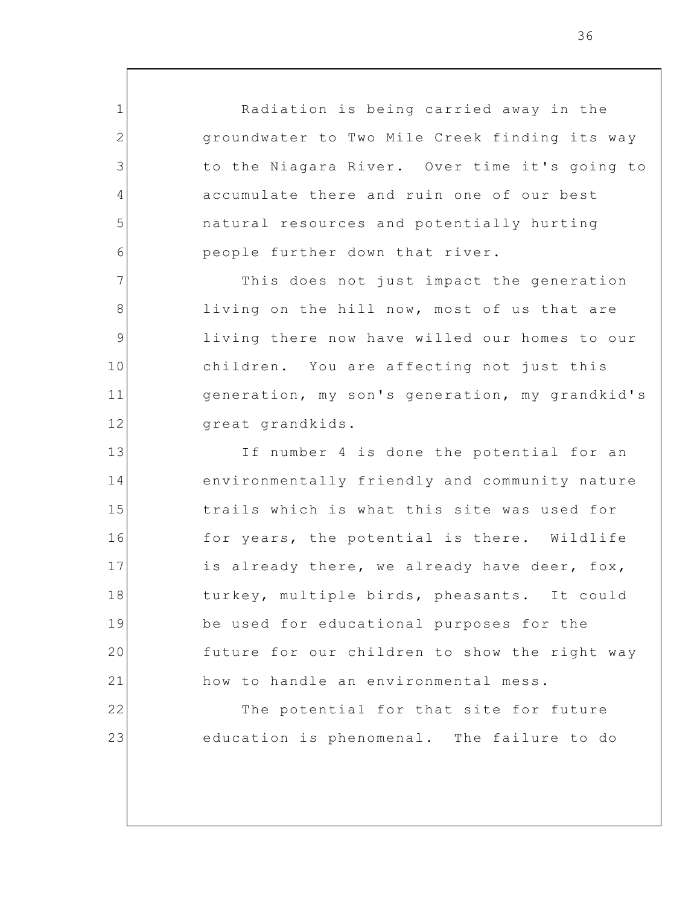Radiation is being carried away in the groundwater to Two Mile Creek finding its way to the Niagara River. Over time it's going to accumulate there and ruin one of our best natural resources and potentially hurting people further down that river.

1

2

3

4

5

6

7

8

9

10

11

12

19

20

21

22

23

This does not just impact the generation living on the hill now, most of us that are living there now have willed our homes to our children. You are affecting not just this generation, my son's generation, my grandkid's great grandkids.

13 14 15 16 17 18 If number 4 is done the potential for an environmentally friendly and community nature trails which is what this site was used for for years, the potential is there. Wildlife is already there, we already have deer, fox, turkey, multiple birds, pheasants. It could be used for educational purposes for the future for our children to show the right way how to handle an environmental mess.

> The potential for that site for future education is phenomenal. The failure to do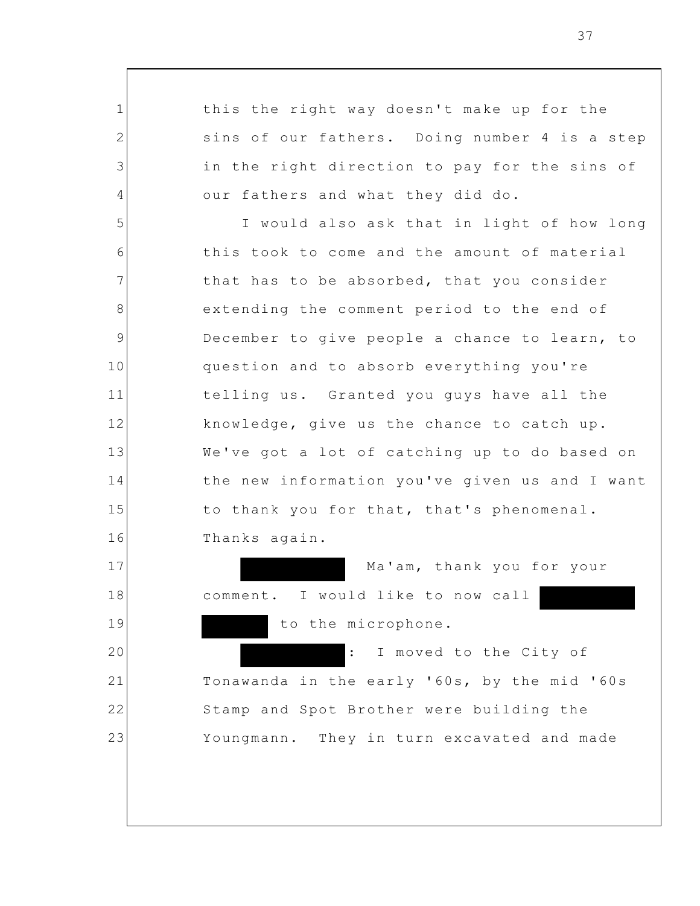1 2 3 4 5 6 7 8 9 10 11 12 13 14 15 16 17 18 19 20 21 22 23 this the right way doesn't make up for the sins of our fathers. Doing number 4 is a step in the right direction to pay for the sins of our fathers and what they did do. I would also ask that in light of how long this took to come and the amount of material that has to be absorbed, that you consider extending the comment period to the end of December to give people a chance to learn, to question and to absorb everything you're telling us. Granted you guys have all the knowledge, give us the chance to catch up. We've got a lot of catching up to do based on the new information you've given us and I want to thank you for that, that's phenomenal. Thanks again. Ma'am, thank you for your comment. I would like to now call to the microphone. : I moved to the City of Tonawanda in the early '60s, by the mid '60s Stamp and Spot Brother were building the Youngmann. They in turn excavated and made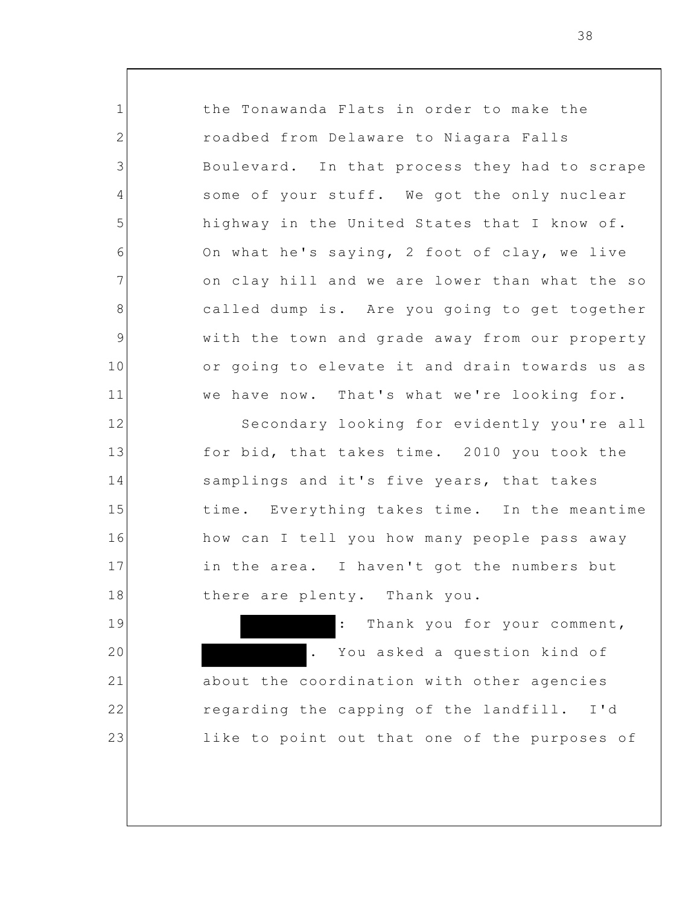the Tonawanda Flats in order to make the roadbed from Delaware to Niagara Falls Boulevard. In that process they had to scrape some of your stuff. We got the only nuclear highway in the United States that I know of. On what he's saying, 2 foot of clay, we live on clay hill and we are lower than what the so called dump is. Are you going to get together with the town and grade away from our property or going to elevate it and drain towards us as we have now. That's what we're looking for. Secondary looking for evidently you're all for bid, that takes time. 2010 you took the samplings and it's five years, that takes time. Everything takes time. In the meantime how can I tell you how many people pass away in the area. I haven't got the numbers but

1

2

3

4

5

6

7

8

9

10

11

12

13

14

15

16

17

18

19

20

21

22

23

: Thank you for your comment, You asked a question kind of about the coordination with other agencies regarding the capping of the landfill. I'd like to point out that one of the purposes of

there are plenty. Thank you.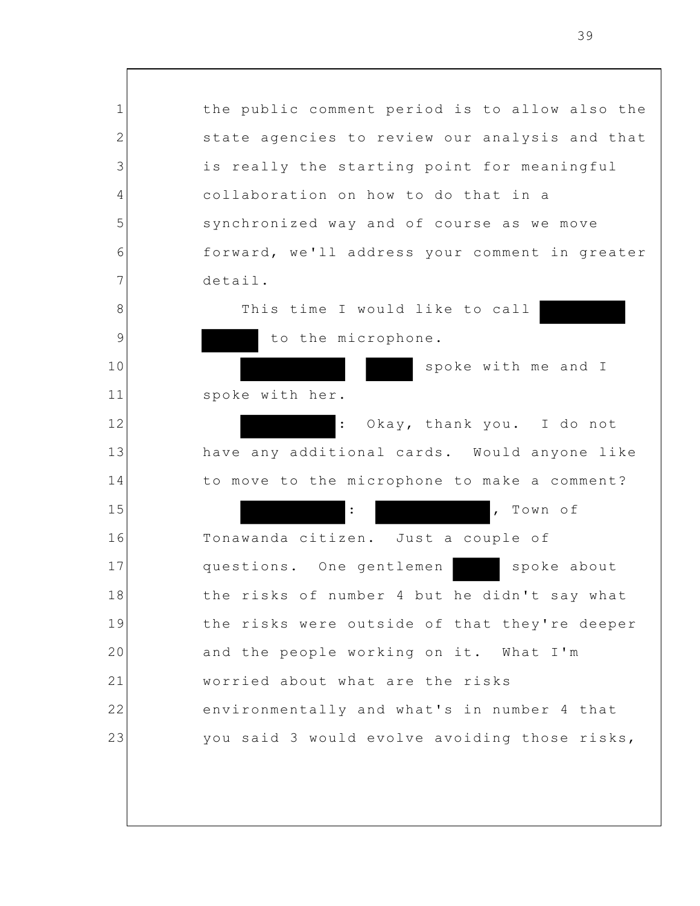| $\mathbf 1$    | the public comment period is to allow also the    |
|----------------|---------------------------------------------------|
| $\overline{2}$ | state agencies to review our analysis and that    |
| 3              | is really the starting point for meaningful       |
| 4              | collaboration on how to do that in a              |
| 5              | synchronized way and of course as we move         |
| 6              | forward, we'll address your comment in greater    |
| 7              | detail.                                           |
| 8              | This time I would like to call                    |
| 9              | to the microphone.                                |
| 10             | spoke with me and I                               |
| 11             | spoke with her.                                   |
| 12             | Okay, thank you. I do not<br>$\ddot{\phantom{a}}$ |
| 13             | have any additional cards. Would anyone like      |
| 14             | to move to the microphone to make a comment?      |
| 15             | Town of<br>$\ddot{\cdot}$<br>$\mathbf{r}$         |
| 16             | Tonawanda citizen. Just a couple of               |
| 17             | questions. One gentlemen<br>spoke about           |
| 18             | the risks of number 4 but he didn't say what      |
| 19             | the risks were outside of that they're deeper     |
| 20             | and the people working on it. What I'm            |
| 21             | worried about what are the risks                  |
| 22             | environmentally and what's in number 4 that       |
| 23             | you said 3 would evolve avoiding those risks,     |
|                |                                                   |
|                |                                                   |
|                |                                                   |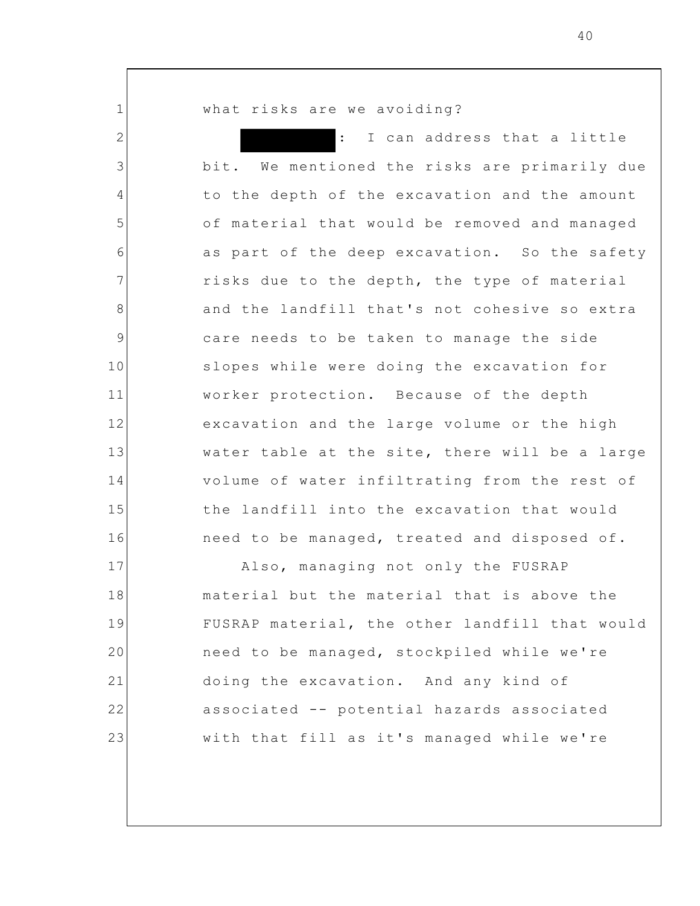what risks are we avoiding?

1

2

3

4

5

6

7

8

9

10

11

12

13

14

15

16

I can address that a little bit. We mentioned the risks are primarily due to the depth of the excavation and the amount of material that would be removed and managed as part of the deep excavation. So the safety risks due to the depth, the type of material and the landfill that's not cohesive so extra care needs to be taken to manage the side slopes while were doing the excavation for worker protection. Because of the depth excavation and the large volume or the high water table at the site, there will be a large volume of water infiltrating from the rest of the landfill into the excavation that would need to be managed, treated and disposed of.

17 18 19 20 21 22 23 Also, managing not only the FUSRAP material but the material that is above the FUSRAP material, the other landfill that would need to be managed, stockpiled while we're doing the excavation. And any kind of associated -- potential hazards associated with that fill as it's managed while we're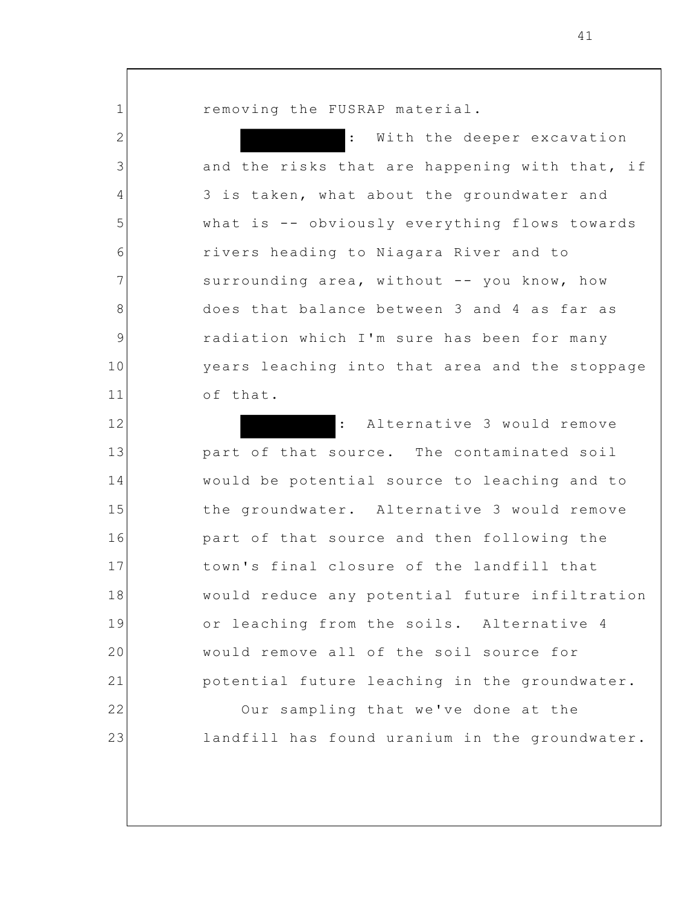removing the FUSRAP material.

1

2

3

4

5

6

7

8

9

10

11

With the deeper excavation and the risks that are happening with that, if 3 is taken, what about the groundwater and what is -- obviously everything flows towards rivers heading to Niagara River and to surrounding area, without -- you know, how does that balance between 3 and 4 as far as radiation which I'm sure has been for many years leaching into that area and the stoppage of that.

12 13 14 15 16 17 18 19 20 21 22 23 : Alternative 3 would remove part of that source. The contaminated soil would be potential source to leaching and to the groundwater. Alternative 3 would remove part of that source and then following the town's final closure of the landfill that would reduce any potential future infiltration or leaching from the soils. Alternative 4 would remove all of the soil source for potential future leaching in the groundwater. Our sampling that we've done at the landfill has found uranium in the groundwater.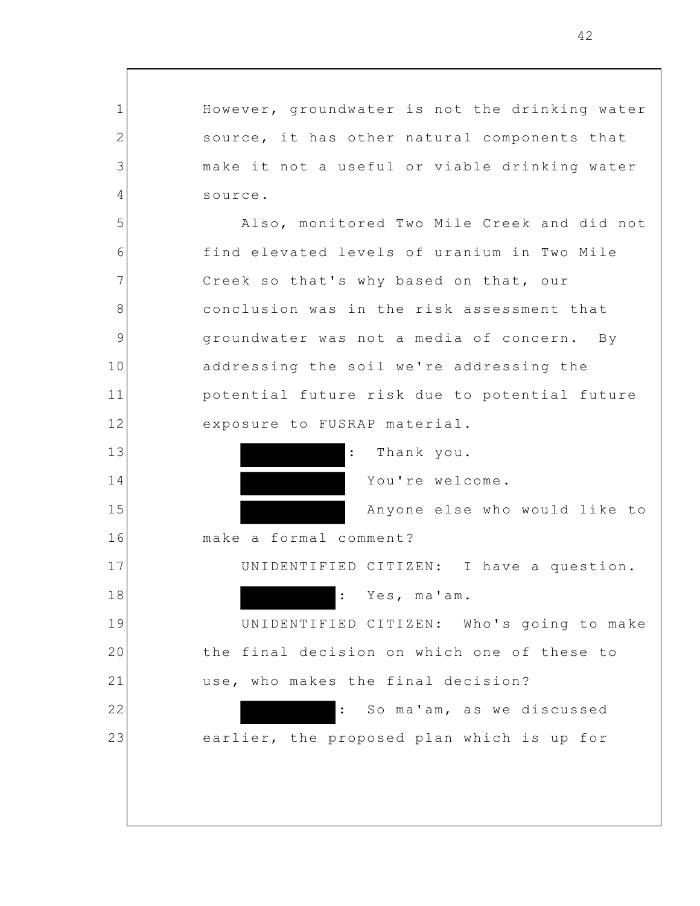However, groundwater is not the drinking water source, it has other natural components that make it not a useful or viable drinking water source. Also, monitored Two Mile Creek and did not find elevated levels of uranium in Two Mile Creek so that's why based on that, our conclusion was in the risk assessment that groundwater was not a media of concern. By addressing the soil we're addressing the potential future risk due to potential future exposure to FUSRAP material.

1

2

3

4

5

6

7

8

9

10

11

12

13

14

15

16

17

18

19

20

21

22

23

Thank you.

You're welcome.

Anyone else who would like to

make a formal comment?

UNIDENTIFIED CITIZEN: I have a question.

: Yes, ma'am.

UNIDENTIFIED CITIZEN: Who's going to make the final decision on which one of these to use, who makes the final decision?

: So ma'am, as we discussed earlier, the proposed plan which is up for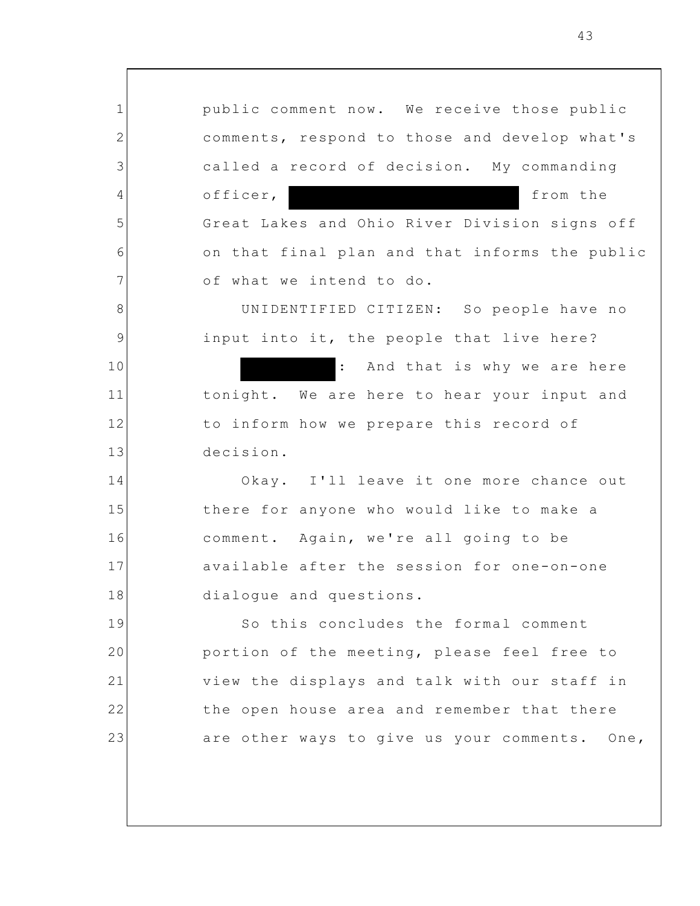1 2 3 4 5 6 7 8 9 10 11 12 13 14 15 16 17 18 19 20 21 22 23 public comment now. We receive those public comments, respond to those and develop what's called a record of decision. My commanding officer, from the Great Lakes and Ohio River Division signs off on that final plan and that informs the public of what we intend to do. UNIDENTIFIED CITIZEN: So people have no input into it, the people that live here? : And that is why we are here tonight. We are here to hear your input and to inform how we prepare this record of decision. Okay. I'll leave it one more chance out there for anyone who would like to make a comment. Again, we're all going to be available after the session for one-on-one dialogue and questions. So this concludes the formal comment portion of the meeting, please feel free to view the displays and talk with our staff in the open house area and remember that there are other ways to give us your comments. One,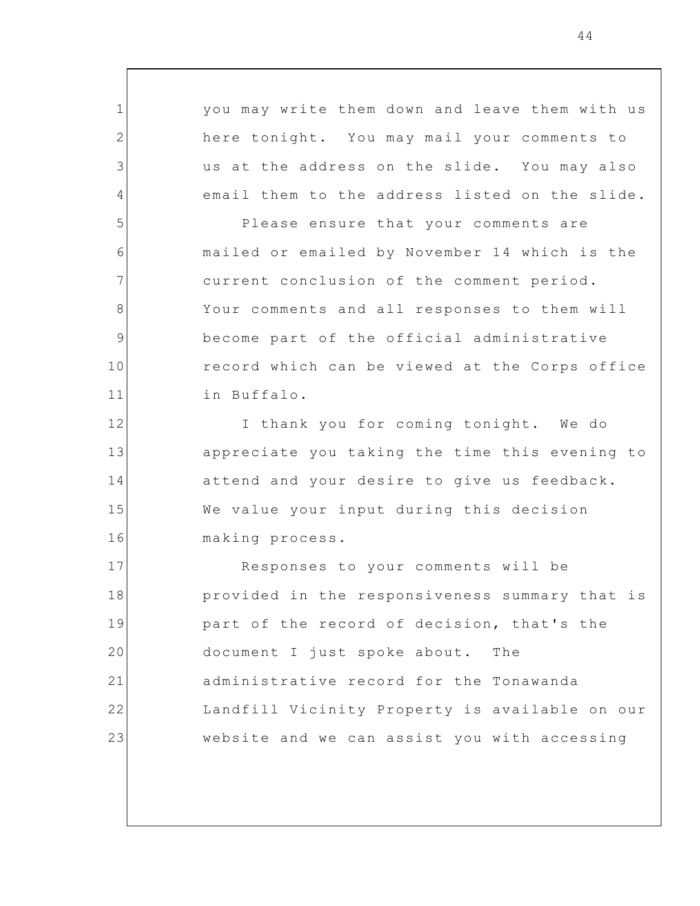you may write them down and leave them with us here tonight. You may mail your comments to us at the address on the slide. You may also email them to the address listed on the slide. Please ensure that your comments are mailed or emailed by November 14 which is the current conclusion of the comment period. Your comments and all responses to them will become part of the official administrative record which can be viewed at the Corps office in Buffalo. I thank you for coming tonight. We do appreciate you taking the time this evening to

1

2

3

4

5

6

7

8

9

10

11

12

13

14

15

16

attend and your desire to give us feedback. We value your input during this decision making process.

17 18 19 20 21 22 23 Responses to your comments will be provided in the responsiveness summary that is part of the record of decision, that's the document I just spoke about. The administrative record for the Tonawanda Landfill Vicinity Property is available on our website and we can assist you with accessing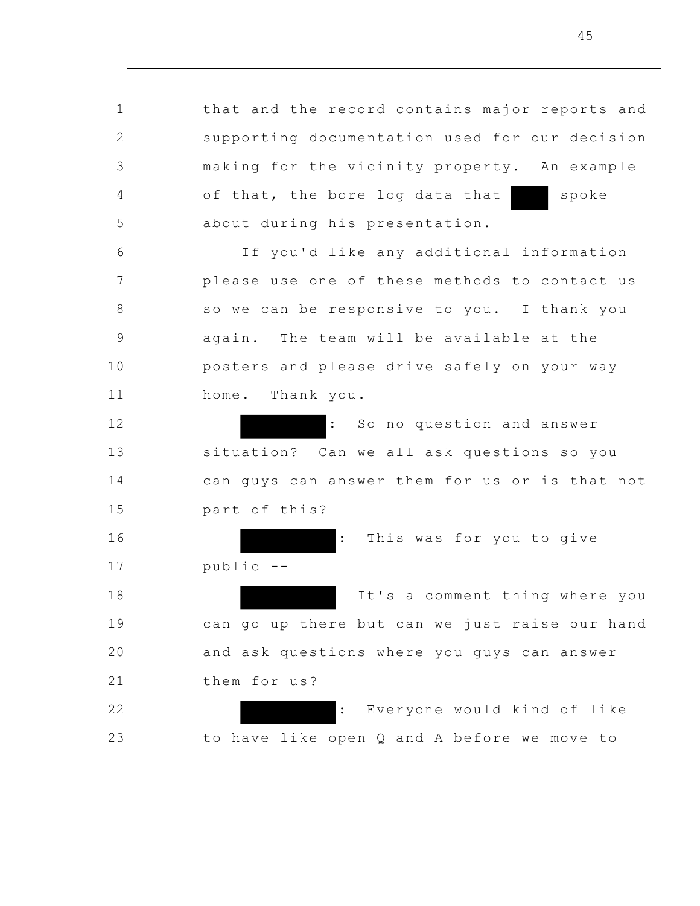that and the record contains major reports and supporting documentation used for our decision making for the vicinity property. An example of that, the bore log data that spoke about during his presentation.

If you'd like any additional information please use one of these methods to contact us so we can be responsive to you. I thank you again. The team will be available at the posters and please drive safely on your way home. Thank you.

: So no question and answer situation? Can we all ask questions so you can guys can answer them for us or is that not part of this?

: This was for you to give

public --

1

2

3

4

5

6

7

8

9

10

11

12

13

14

15

16

17

18

19

20

21

22

23

It's a comment thing where you can go up there but can we just raise our hand and ask questions where you guys can answer them for us?

: Everyone would kind of like to have like open Q and A before we move to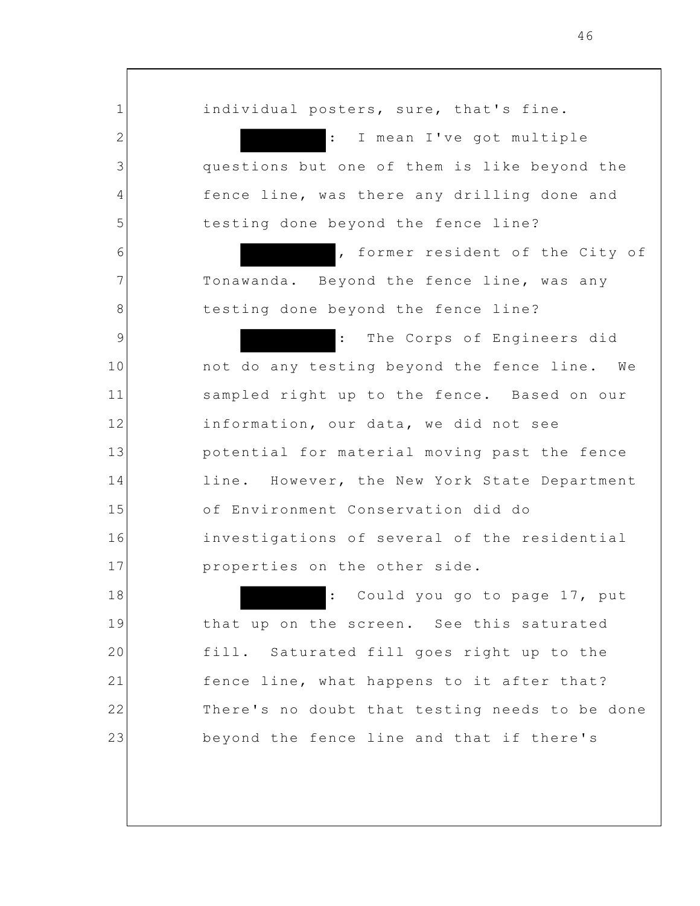individual posters, sure, that's fine. : I mean I've got multiple questions but one of them is like beyond the fence line, was there any drilling done and testing done beyond the fence line? , former resident of the City of Tonawanda. Beyond the fence line, was any testing done beyond the fence line? The Corps of Engineers did not do any testing beyond the fence line. We sampled right up to the fence. Based on our information, our data, we did not see potential for material moving past the fence line. However, the New York State Department of Environment Conservation did do investigations of several of the residential properties on the other side. : Could you go to page 17, put

1

2

3

4

5

6

7

8

9

10

11

12

13

14

15

16

17

18

19

20

21

22

23

that up on the screen. See this saturated fill. Saturated fill goes right up to the fence line, what happens to it after that? There's no doubt that testing needs to be done beyond the fence line and that if there's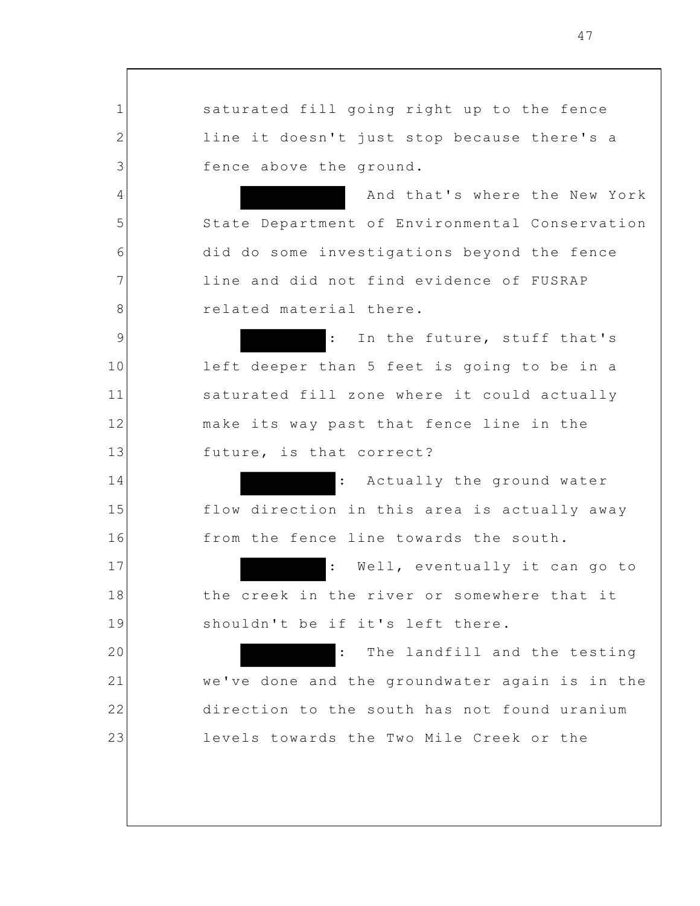1 2 3 4 5 6 7 8 9 10 11 12 13 14 15 16 17 18 19 20 21 22 23 saturated fill going right up to the fence line it doesn't just stop because there's a fence above the ground. And that's where the New York State Department of Environmental Conservation did do some investigations beyond the fence line and did not find evidence of FUSRAP related material there. : In the future, stuff that's left deeper than 5 feet is going to be in a saturated fill zone where it could actually make its way past that fence line in the future, is that correct? : Actually the ground water flow direction in this area is actually away from the fence line towards the south. : Well, eventually it can go to the creek in the river or somewhere that it shouldn't be if it's left there. : The landfill and the testing we've done and the groundwater again is in the direction to the south has not found uranium levels towards the Two Mile Creek or the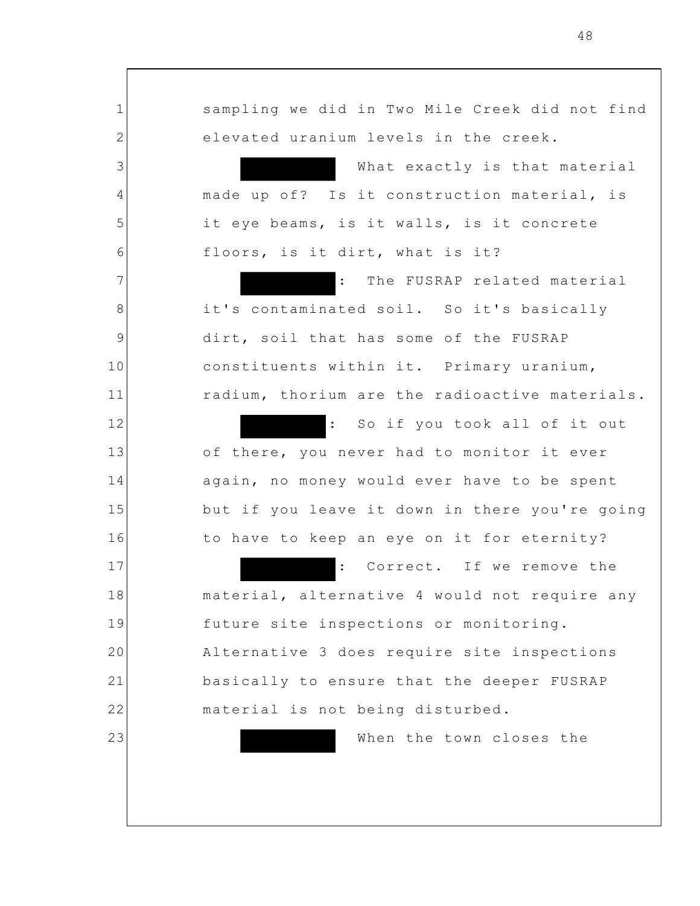1 2 3 4 5 6 7 8 9 10 11 12 13 14 15 16 17 18 19 20 21 22 23 sampling we did in Two Mile Creek did not find elevated uranium levels in the creek. What exactly is that material made up of? Is it construction material, is it eye beams, is it walls, is it concrete floors, is it dirt, what is it? The FUSRAP related material it's contaminated soil. So it's basically dirt, soil that has some of the FUSRAP constituents within it. Primary uranium, radium, thorium are the radioactive materials. : So if you took all of it out of there, you never had to monitor it ever again, no money would ever have to be spent but if you leave it down in there you're going to have to keep an eye on it for eternity? : Correct. If we remove the material, alternative 4 would not require any future site inspections or monitoring. Alternative 3 does require site inspections basically to ensure that the deeper FUSRAP material is not being disturbed. When the town closes the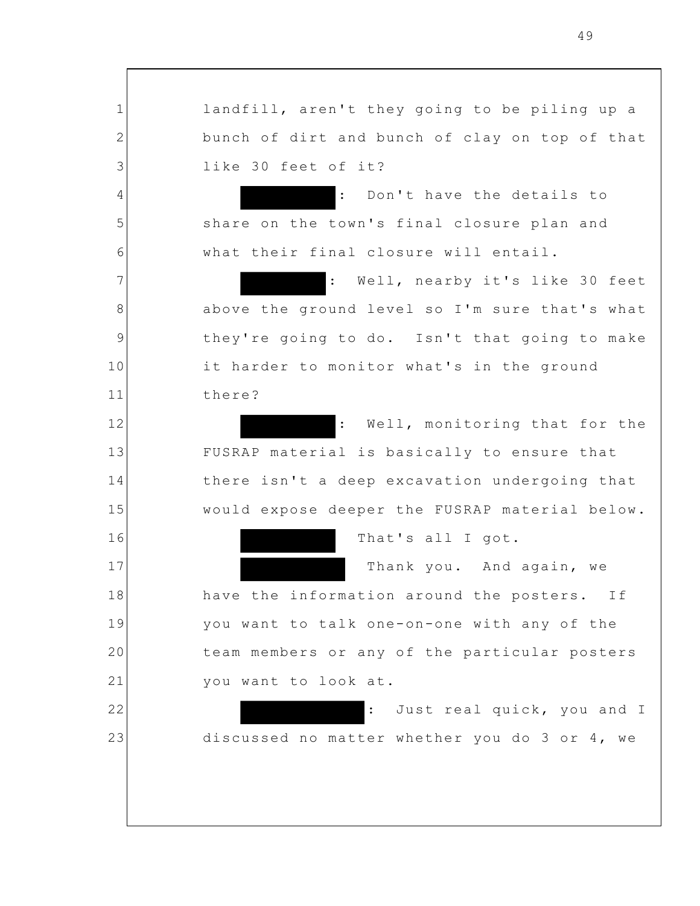landfill, aren't they going to be piling up a bunch of dirt and bunch of clay on top of that like 30 feet of it?

1

2

3

4

5

6

7

8

9

10

11

12

13

14

15

16

17

18

19

20

21

22

23

: Don't have the details to share on the town's final closure plan and what their final closure will entail.

: Well, nearby it's like 30 feet above the ground level so I'm sure that's what they're going to do. Isn't that going to make it harder to monitor what's in the ground there?

: Well, monitoring that for the FUSRAP material is basically to ensure that there isn't a deep excavation undergoing that would expose deeper the FUSRAP material below.

That's all I got.

Thank you. And again, we have the information around the posters. If you want to talk one-on-one with any of the team members or any of the particular posters you want to look at.

: Just real quick, you and I discussed no matter whether you do 3 or 4, we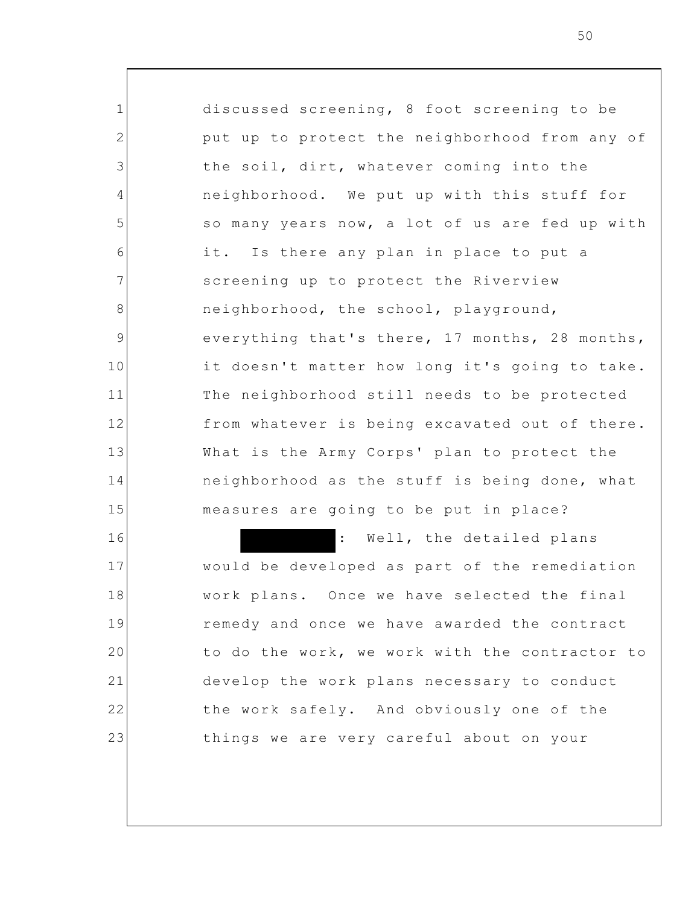1 2 3 4 5 6 7 8 9 10 11 12 13 14 15 16 17 18 19 20 21 discussed screening, 8 foot screening to be put up to protect the neighborhood from any of the soil, dirt, whatever coming into the neighborhood. We put up with this stuff for so many years now, a lot of us are fed up with it. Is there any plan in place to put a screening up to protect the Riverview neighborhood, the school, playground, everything that's there, 17 months, 28 months, it doesn't matter how long it's going to take. The neighborhood still needs to be protected from whatever is being excavated out of there. What is the Army Corps' plan to protect the neighborhood as the stuff is being done, what measures are going to be put in place? : Well, the detailed plans would be developed as part of the remediation work plans. Once we have selected the final remedy and once we have awarded the contract to do the work, we work with the contractor to develop the work plans necessary to conduct

things we are very careful about on your

the work safely. And obviously one of the

22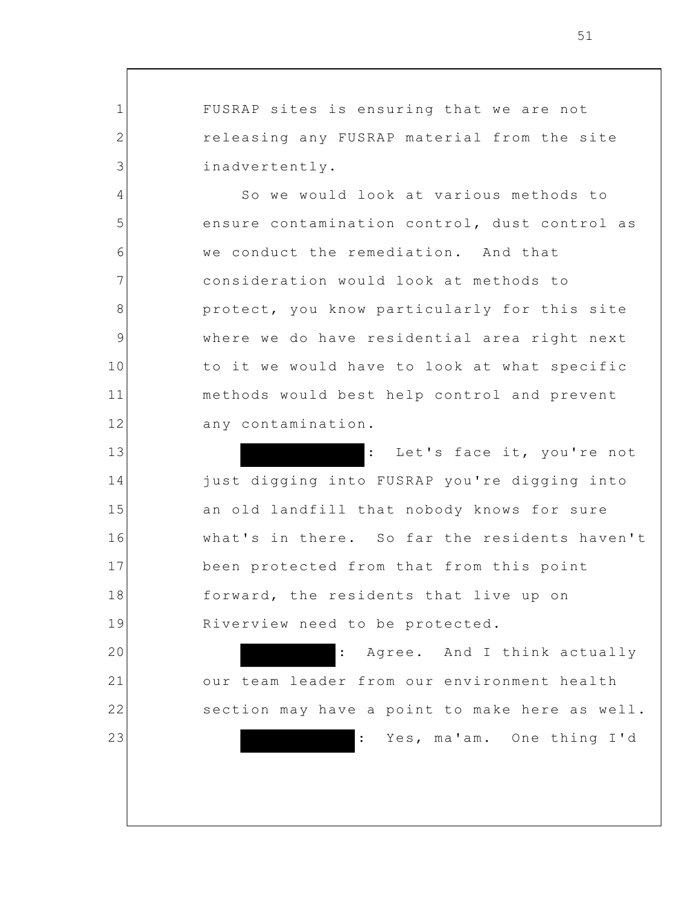FUSRAP sites is ensuring that we are not releasing any FUSRAP material from the site inadvertently.

1

2

3

4

5

6

7

8

9

10

11

12

13

14

15

16

17

18

19

20

21

22

23

So we would look at various methods to ensure contamination control, dust control as we conduct the remediation. And that consideration would look at methods to protect, you know particularly for this site where we do have residential area right next to it we would have to look at what specific methods would best help control and prevent any contamination.

: Let's face it, you're not just digging into FUSRAP you're digging into an old landfill that nobody knows for sure what's in there. So far the residents haven't been protected from that from this point forward, the residents that live up on Riverview need to be protected.

: Agree. And I think actually our team leader from our environment health section may have a point to make here as well. Yes, ma'am. One thing I'd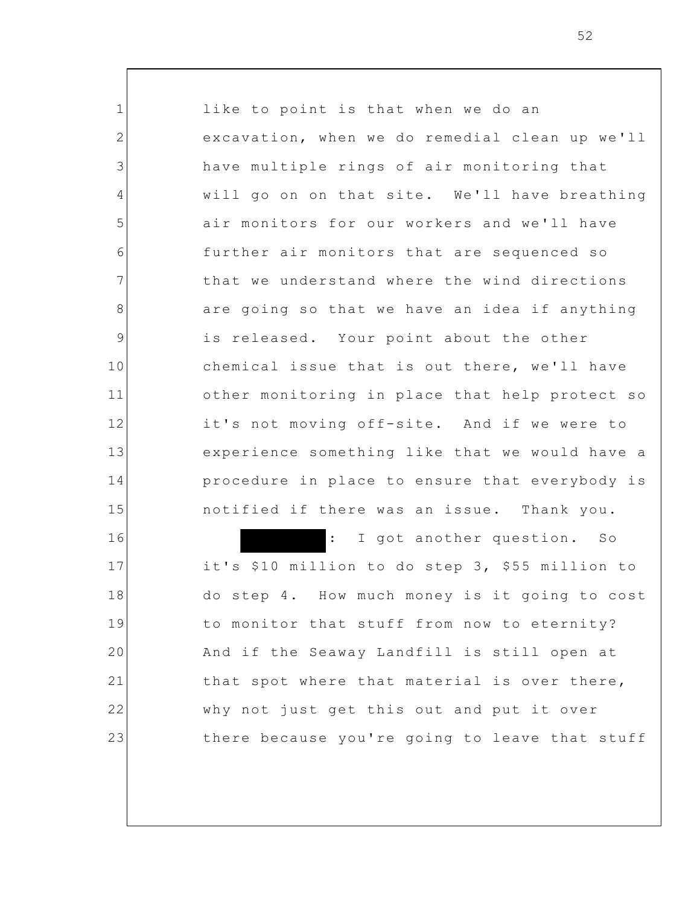12 13 16 like to point is that when we do an excavation, when we do remedial clean up we'll have multiple rings of air monitoring that will go on on that site. We'll have breathing air monitors for our workers and we'll have further air monitors that are sequenced so that we understand where the wind directions are going so that we have an idea if anything is released. Your point about the other chemical issue that is out there, we'll have other monitoring in place that help protect so it's not moving off-site. And if we were to experience something like that we would have a procedure in place to ensure that everybody is notified if there was an issue. Thank you. : I got another question. So it's \$10 million to do step 3, \$55 million to do step 4. How much money is it going to cost

to monitor that stuff from now to eternity?

And if the Seaway Landfill is still open at

that spot where that material is over there,

there because you're going to leave that stuff

why not just get this out and put it over

1

2

3

4

5

6

7

8

9

10

11

14

15

17

18

19

20

21

22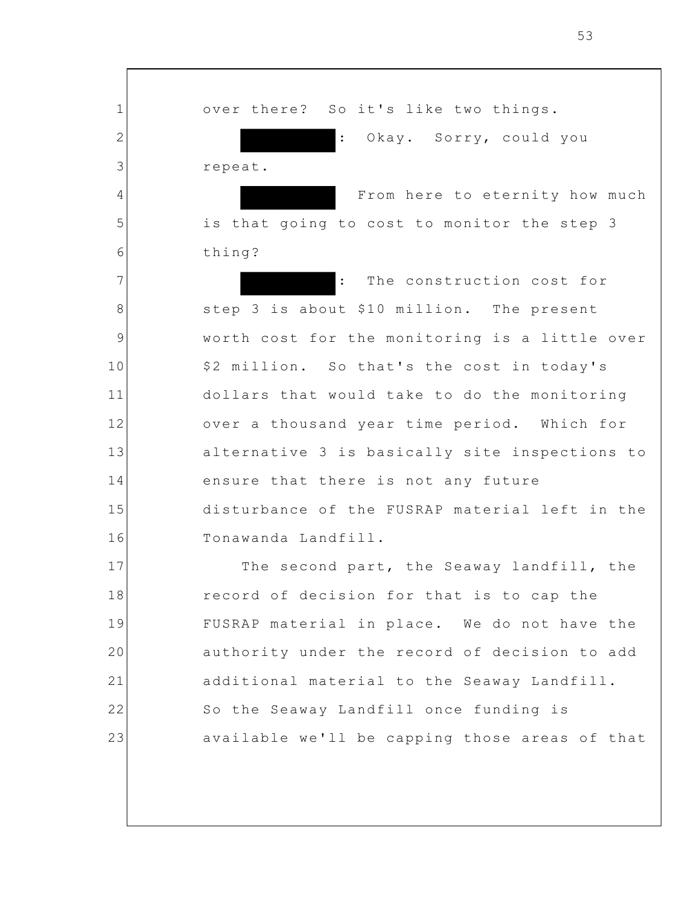over there? So it's like two things. Okay. Sorry, could you repeat.

1

2

3

4

5

6

7

8

9

10

11

12

13

14

15

16

From here to eternity how much is that going to cost to monitor the step 3 thing?

: The construction cost for step 3 is about \$10 million. The present worth cost for the monitoring is a little over \$2 million. So that's the cost in today's dollars that would take to do the monitoring over a thousand year time period. Which for alternative 3 is basically site inspections to ensure that there is not any future disturbance of the FUSRAP material left in the Tonawanda Landfill.

17 18 19 20 21 22 23 The second part, the Seaway landfill, the record of decision for that is to cap the FUSRAP material in place. We do not have the authority under the record of decision to add additional material to the Seaway Landfill. So the Seaway Landfill once funding is available we'll be capping those areas of that